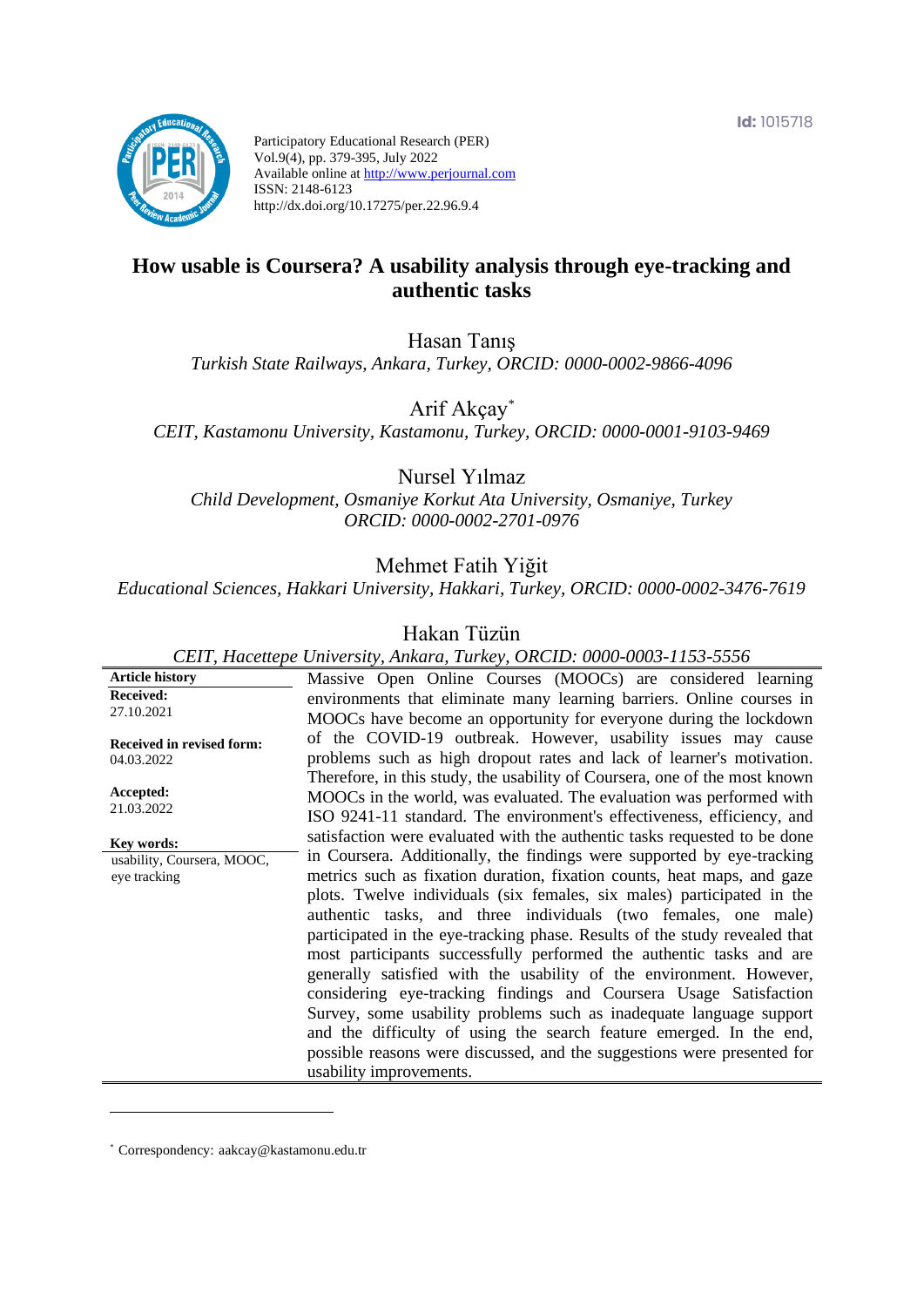**Id:** 1015718



Participatory Educational Research (PER) Vol.9(4), pp. 379-395, July 2022 Available online at http://www.perjournal.com ISSN: 2148-6123 http://dx.doi.org/10.17275/per.22.96.9.4

# **How usable is Coursera? A usability analysis through eye-tracking and authentic tasks**

Hasan Tanış

*Turkish State Railways, Ankara, Turkey, ORCID: 0000-0002-9866-4096*

Arif Akçay*\**

*CEIT, Kastamonu University, Kastamonu, Turkey, ORCID: 0000-0001-9103-9469*

Nursel Yılmaz

*Child Development, Osmaniye Korkut Ata University, Osmaniye, Turkey ORCID: 0000-0002-2701-0976*

Mehmet Fatih Yiğit

*Educational Sciences, Hakkari University, Hakkari, Turkey, ORCID: 0000-0002-3476-7619*

## Hakan Tüzün

*CEIT, Hacettepe University, Ankara, Turkey, ORCID: 0000-0003-1153-5556*

**Article history Received:**  27.10.2021 **Received in revised form:**  04.03.2022 **Accepted:** 21.03.2022 Massive Open Online Courses (MOOCs) are considered learning environments that eliminate many learning barriers. Online courses in MOOCs have become an opportunity for everyone during the lockdown of the COVID-19 outbreak. However, usability issues may cause problems such as high dropout rates and lack of learner's motivation. Therefore, in this study, the usability of Coursera, one of the most known MOOCs in the world, was evaluated. The evaluation was performed with ISO 9241-11 standard. The environment's effectiveness, efficiency, and satisfaction were evaluated with the authentic tasks requested to be done in Coursera. Additionally, the findings were supported by eye-tracking metrics such as fixation duration, fixation counts, heat maps, and gaze plots. Twelve individuals (six females, six males) participated in the authentic tasks, and three individuals (two females, one male) participated in the eye-tracking phase. Results of the study revealed that most participants successfully performed the authentic tasks and are generally satisfied with the usability of the environment. However, considering eye-tracking findings and Coursera Usage Satisfaction Survey, some usability problems such as inadequate language support and the difficulty of using the search feature emerged. In the end, possible reasons were discussed, and the suggestions were presented for usability improvements. **Key words:** usability, Coursera, MOOC, eye tracking

\* [Correspondency:](mailto:Correspondency:) aakcay@kastamonu.edu.tr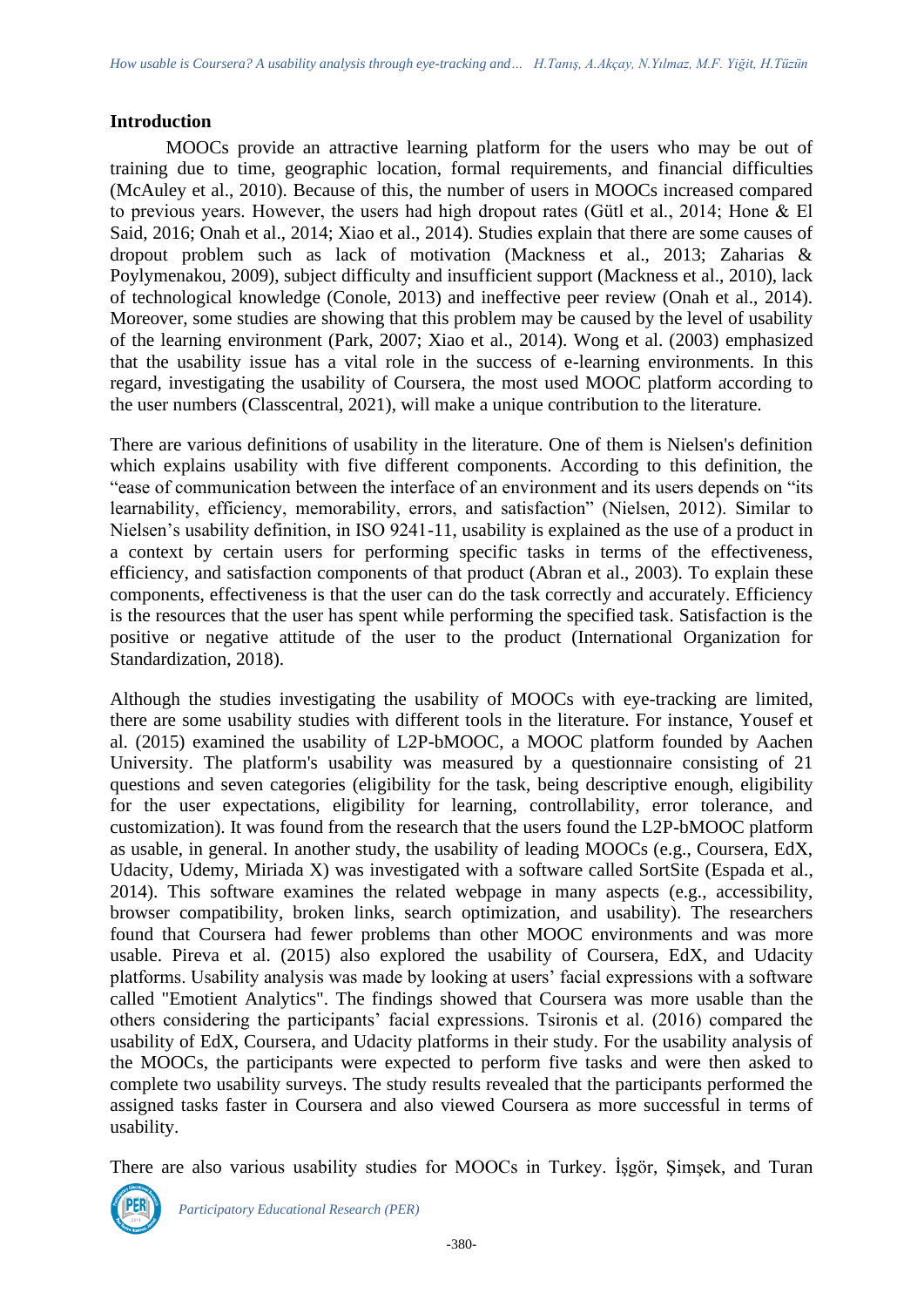#### **Introduction**

MOOCs provide an attractive learning platform for the users who may be out of training due to time, geographic location, formal requirements, and financial difficulties (McAuley et al., 2010). Because of this, the number of users in MOOCs increased compared to previous years. However, the users had high dropout rates (Gütl et al., 2014; Hone & El Said, 2016; Onah et al., 2014; Xiao et al., 2014). Studies explain that there are some causes of dropout problem such as lack of motivation (Mackness et al., 2013; Zaharias & Poylymenakou, 2009), subject difficulty and insufficient support (Mackness et al., 2010), lack of technological knowledge (Conole, 2013) and ineffective peer review (Onah et al., 2014). Moreover, some studies are showing that this problem may be caused by the level of usability of the learning environment (Park, 2007; Xiao et al., 2014). Wong et al. (2003) emphasized that the usability issue has a vital role in the success of e-learning environments. In this regard, investigating the usability of Coursera, the most used MOOC platform according to the user numbers (Classcentral, 2021), will make a unique contribution to the literature.

There are various definitions of usability in the literature. One of them is Nielsen's definition which explains usability with five different components. According to this definition, the "ease of communication between the interface of an environment and its users depends on "its learnability, efficiency, memorability, errors, and satisfaction" (Nielsen, 2012). Similar to Nielsen's usability definition, in ISO 9241-11, usability is explained as the use of a product in a context by certain users for performing specific tasks in terms of the effectiveness, efficiency, and satisfaction components of that product (Abran et al., 2003). To explain these components, effectiveness is that the user can do the task correctly and accurately. Efficiency is the resources that the user has spent while performing the specified task. Satisfaction is the positive or negative attitude of the user to the product (International Organization for Standardization, 2018).

Although the studies investigating the usability of MOOCs with eye-tracking are limited, there are some usability studies with different tools in the literature. For instance, Yousef et al. (2015) examined the usability of L2P-bMOOC, a MOOC platform founded by Aachen University. The platform's usability was measured by a questionnaire consisting of 21 questions and seven categories (eligibility for the task, being descriptive enough, eligibility for the user expectations, eligibility for learning, controllability, error tolerance, and customization). It was found from the research that the users found the L2P-bMOOC platform as usable, in general. In another study, the usability of leading MOOCs (e.g., Coursera, EdX, Udacity, Udemy, Miriada X) was investigated with a software called SortSite (Espada et al., 2014). This software examines the related webpage in many aspects (e.g., accessibility, browser compatibility, broken links, search optimization, and usability). The researchers found that Coursera had fewer problems than other MOOC environments and was more usable. Pireva et al. (2015) also explored the usability of Coursera, EdX, and Udacity platforms. Usability analysis was made by looking at users' facial expressions with a software called "Emotient Analytics". The findings showed that Coursera was more usable than the others considering the participants' facial expressions. Tsironis et al. (2016) compared the usability of EdX, Coursera, and Udacity platforms in their study. For the usability analysis of the MOOCs, the participants were expected to perform five tasks and were then asked to complete two usability surveys. The study results revealed that the participants performed the assigned tasks faster in Coursera and also viewed Coursera as more successful in terms of usability.

There are also various usability studies for MOOCs in Turkey. İşgör, Şimşek, and Turan

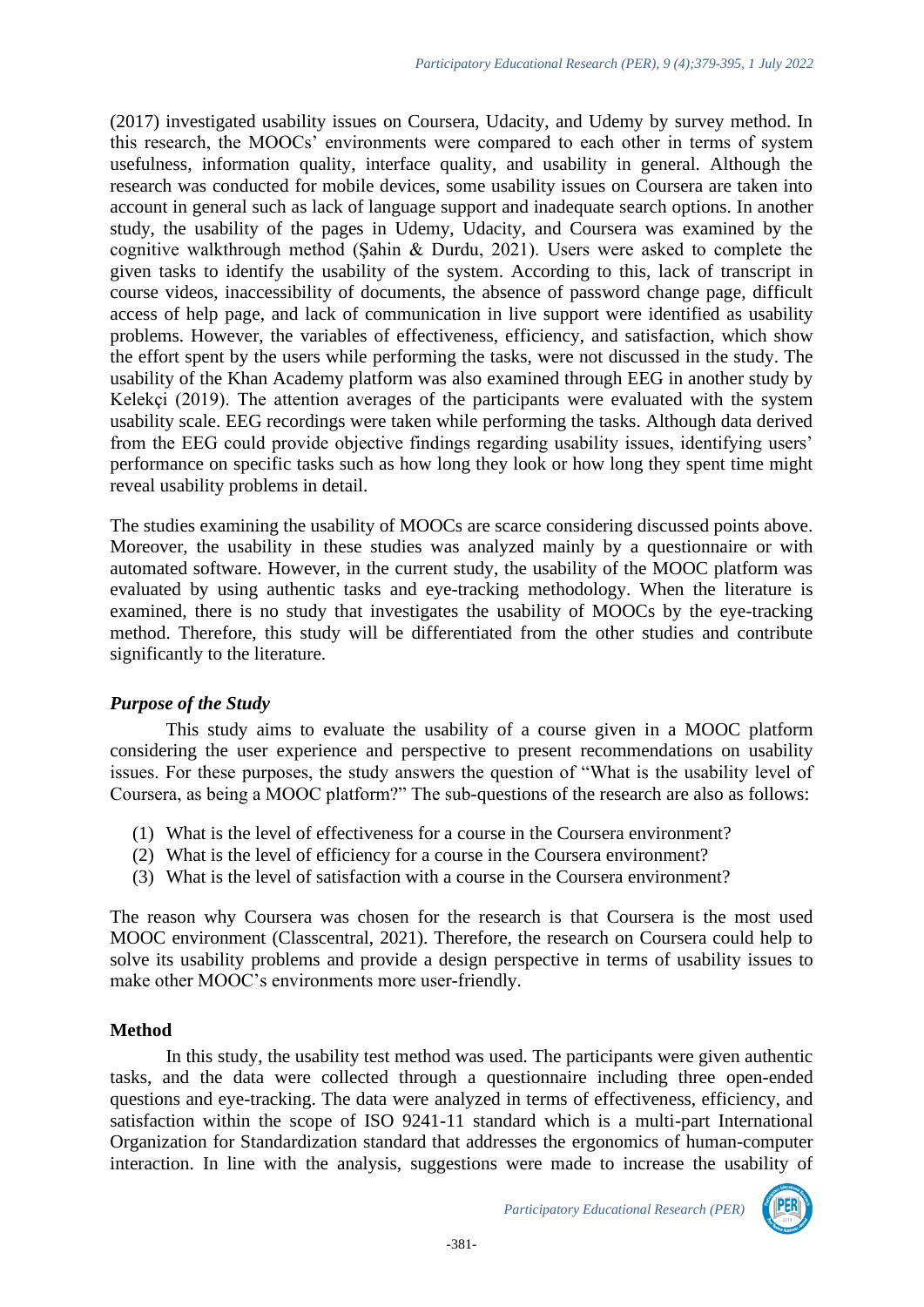(2017) investigated usability issues on Coursera, Udacity, and Udemy by survey method. In this research, the MOOCs' environments were compared to each other in terms of system usefulness, information quality, interface quality, and usability in general. Although the research was conducted for mobile devices, some usability issues on Coursera are taken into account in general such as lack of language support and inadequate search options. In another study, the usability of the pages in Udemy, Udacity, and Coursera was examined by the cognitive walkthrough method (Şahin & Durdu, 2021). Users were asked to complete the given tasks to identify the usability of the system. According to this, lack of transcript in course videos, inaccessibility of documents, the absence of password change page, difficult access of help page, and lack of communication in live support were identified as usability problems. However, the variables of effectiveness, efficiency, and satisfaction, which show the effort spent by the users while performing the tasks, were not discussed in the study. The usability of the Khan Academy platform was also examined through EEG in another study by Kelekçi (2019). The attention averages of the participants were evaluated with the system usability scale. EEG recordings were taken while performing the tasks. Although data derived from the EEG could provide objective findings regarding usability issues, identifying users' performance on specific tasks such as how long they look or how long they spent time might reveal usability problems in detail.

The studies examining the usability of MOOCs are scarce considering discussed points above. Moreover, the usability in these studies was analyzed mainly by a questionnaire or with automated software. However, in the current study, the usability of the MOOC platform was evaluated by using authentic tasks and eye-tracking methodology. When the literature is examined, there is no study that investigates the usability of MOOCs by the eye-tracking method. Therefore, this study will be differentiated from the other studies and contribute significantly to the literature.

#### *Purpose of the Study*

This study aims to evaluate the usability of a course given in a MOOC platform considering the user experience and perspective to present recommendations on usability issues. For these purposes, the study answers the question of "What is the usability level of Coursera, as being a MOOC platform?" The sub-questions of the research are also as follows:

- (1) What is the level of effectiveness for a course in the Coursera environment?
- (2) What is the level of efficiency for a course in the Coursera environment?
- (3) What is the level of satisfaction with a course in the Coursera environment?

The reason why Coursera was chosen for the research is that Coursera is the most used MOOC environment (Classcentral, 2021). Therefore, the research on Coursera could help to solve its usability problems and provide a design perspective in terms of usability issues to make other MOOC's environments more user-friendly.

## **Method**

In this study, the usability test method was used. The participants were given authentic tasks, and the data were collected through a questionnaire including three open-ended questions and eye-tracking. The data were analyzed in terms of effectiveness, efficiency, and satisfaction within the scope of ISO 9241-11 standard which is a multi-part International Organization for Standardization standard that addresses the ergonomics of human-computer interaction. In line with the analysis, suggestions were made to increase the usability of

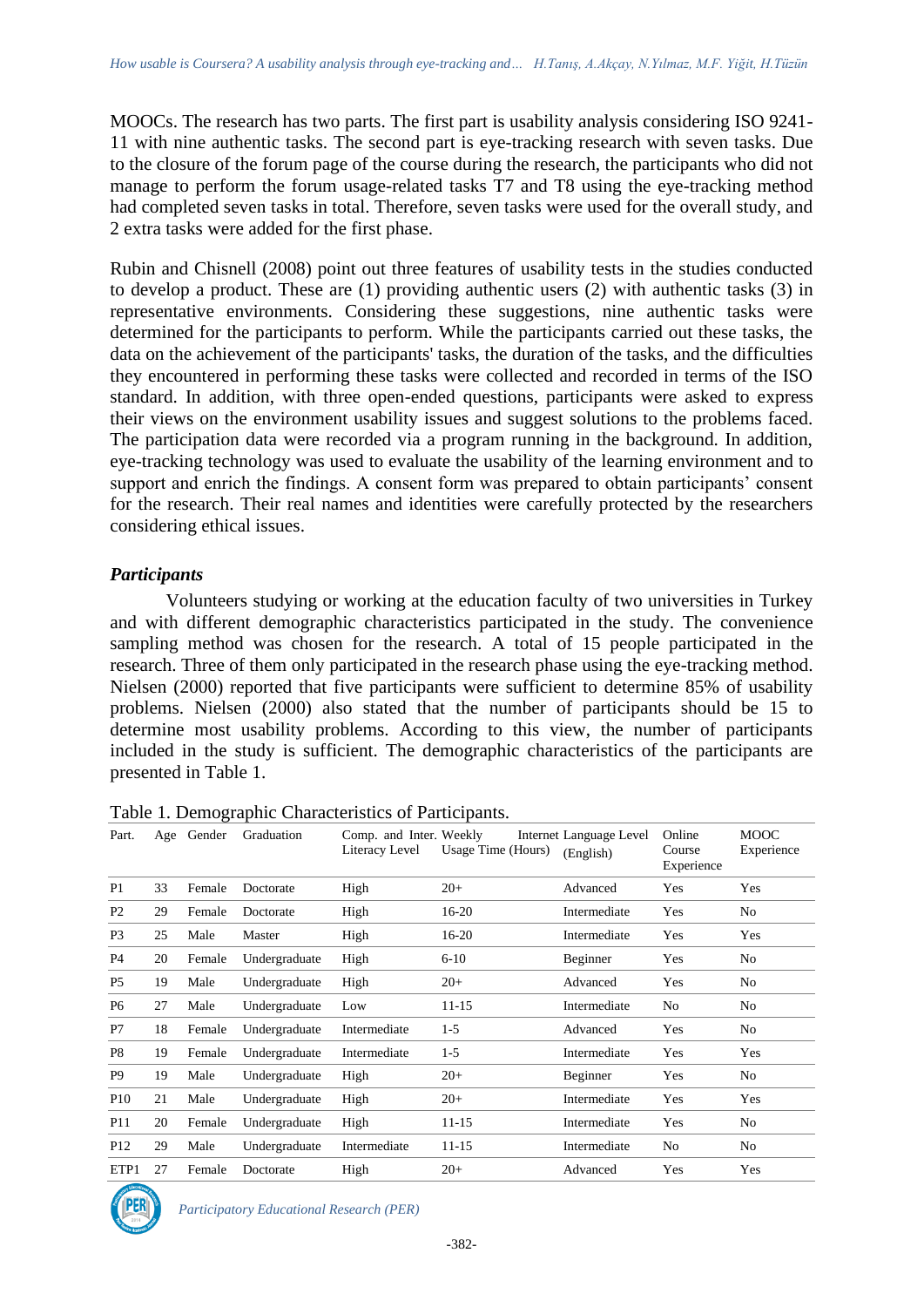MOOCs. The research has two parts. The first part is usability analysis considering ISO 9241- 11 with nine authentic tasks. The second part is eye-tracking research with seven tasks. Due to the closure of the forum page of the course during the research, the participants who did not manage to perform the forum usage-related tasks T7 and T8 using the eye-tracking method had completed seven tasks in total. Therefore, seven tasks were used for the overall study, and 2 extra tasks were added for the first phase.

Rubin and Chisnell (2008) point out three features of usability tests in the studies conducted to develop a product. These are (1) providing authentic users (2) with authentic tasks (3) in representative environments. Considering these suggestions, nine authentic tasks were determined for the participants to perform. While the participants carried out these tasks, the data on the achievement of the participants' tasks, the duration of the tasks, and the difficulties they encountered in performing these tasks were collected and recorded in terms of the ISO standard. In addition, with three open-ended questions, participants were asked to express their views on the environment usability issues and suggest solutions to the problems faced. The participation data were recorded via a program running in the background. In addition, eye-tracking technology was used to evaluate the usability of the learning environment and to support and enrich the findings. A consent form was prepared to obtain participants' consent for the research. Their real names and identities were carefully protected by the researchers considering ethical issues.

#### *Participants*

Volunteers studying or working at the education faculty of two universities in Turkey and with different demographic characteristics participated in the study. The convenience sampling method was chosen for the research. A total of 15 people participated in the research. Three of them only participated in the research phase using the eye-tracking method. Nielsen (2000) reported that five participants were sufficient to determine 85% of usability problems. Nielsen (2000) also stated that the number of participants should be 15 to determine most usability problems. According to this view, the number of participants included in the study is sufficient. The demographic characteristics of the participants are presented in Table 1.

| Part.           | Age | Gender | Graduation    | Comp. and Inter. Weekly<br>Literacy Level | Usage Time (Hours) | Internet Language Level<br>(English) | Online<br>Course<br>Experience | <b>MOOC</b><br>Experience |
|-----------------|-----|--------|---------------|-------------------------------------------|--------------------|--------------------------------------|--------------------------------|---------------------------|
| P <sub>1</sub>  | 33  | Female | Doctorate     | High                                      | $20+$              | Advanced                             | Yes                            | Yes                       |
| P <sub>2</sub>  | 29  | Female | Doctorate     | High                                      | 16-20              | Intermediate                         | Yes                            | No                        |
| P3              | 25  | Male   | Master        | High                                      | 16-20              | Intermediate                         | Yes                            | Yes                       |
| P <sub>4</sub>  | 20  | Female | Undergraduate | High                                      | $6 - 10$           | Beginner                             | Yes                            | No                        |
| P <sub>5</sub>  | 19  | Male   | Undergraduate | High                                      | $20+$              | Advanced                             | Yes                            | No                        |
| P <sub>6</sub>  | 27  | Male   | Undergraduate | Low                                       | $11 - 15$          | Intermediate                         | N <sub>0</sub>                 | No                        |
| P7              | 18  | Female | Undergraduate | Intermediate                              | $1-5$              | Advanced                             | Yes                            | No                        |
| P8              | 19  | Female | Undergraduate | Intermediate                              | $1-5$              | Intermediate                         | Yes                            | Yes                       |
| P <sub>9</sub>  | 19  | Male   | Undergraduate | High                                      | $20+$              | Beginner                             | Yes                            | No                        |
| <b>P10</b>      | 21  | Male   | Undergraduate | High                                      | $20+$              | Intermediate                         | Yes                            | Yes                       |
| P11             | 20  | Female | Undergraduate | High                                      | $11 - 15$          | Intermediate                         | Yes                            | No                        |
| P <sub>12</sub> | 29  | Male   | Undergraduate | Intermediate                              | $11 - 15$          | Intermediate                         | N <sub>0</sub>                 | No                        |
| ETP1            | 27  | Female | Doctorate     | High                                      | $20+$              | Advanced                             | Yes                            | Yes                       |

Table 1. Demographic Characteristics of Participants.



*Participatory Educational Research (PER)*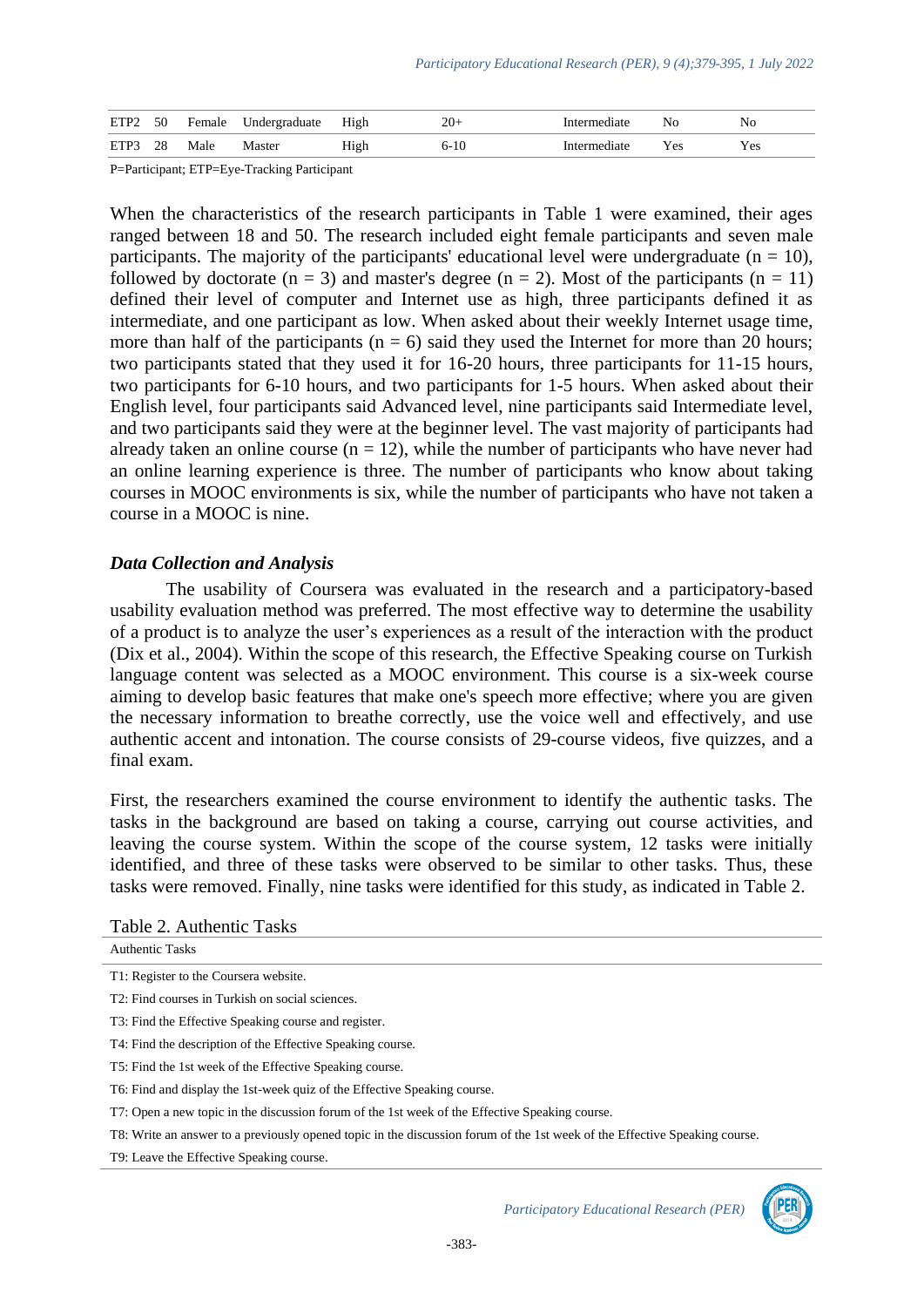| ETP2 | 50 | Female | Undergraduate | High | $20+$ | ntermediate | No  | No  |
|------|----|--------|---------------|------|-------|-------------|-----|-----|
| ETP3 | 28 | Male   | Master        | High | 6-10  | ntermediate | Yes | Yes |

P=Participant; ETP=Eye-Tracking Participant

When the characteristics of the research participants in Table 1 were examined, their ages ranged between 18 and 50. The research included eight female participants and seven male participants. The majority of the participants' educational level were undergraduate ( $n = 10$ ), followed by doctorate  $(n = 3)$  and master's degree  $(n = 2)$ . Most of the participants  $(n = 11)$ defined their level of computer and Internet use as high, three participants defined it as intermediate, and one participant as low. When asked about their weekly Internet usage time, more than half of the participants ( $n = 6$ ) said they used the Internet for more than 20 hours; two participants stated that they used it for 16-20 hours, three participants for 11-15 hours, two participants for 6-10 hours, and two participants for 1-5 hours. When asked about their English level, four participants said Advanced level, nine participants said Intermediate level, and two participants said they were at the beginner level. The vast majority of participants had already taken an online course  $(n = 12)$ , while the number of participants who have never had an online learning experience is three. The number of participants who know about taking courses in MOOC environments is six, while the number of participants who have not taken a course in a MOOC is nine.

#### *Data Collection and Analysis*

The usability of Coursera was evaluated in the research and a participatory-based usability evaluation method was preferred. The most effective way to determine the usability of a product is to analyze the user's experiences as a result of the interaction with the product (Dix et al., 2004). Within the scope of this research, the Effective Speaking course on Turkish language content was selected as a MOOC environment. This course is a six-week course aiming to develop basic features that make one's speech more effective; where you are given the necessary information to breathe correctly, use the voice well and effectively, and use authentic accent and intonation. The course consists of 29-course videos, five quizzes, and a final exam.

First, the researchers examined the course environment to identify the authentic tasks. The tasks in the background are based on taking a course, carrying out course activities, and leaving the course system. Within the scope of the course system, 12 tasks were initially identified, and three of these tasks were observed to be similar to other tasks. Thus, these tasks were removed. Finally, nine tasks were identified for this study, as indicated in Table 2.

|  | Table 2. Authentic Tasks |  |
|--|--------------------------|--|
|--|--------------------------|--|

| <b>Authentic Tasks</b>                                                                                                     |
|----------------------------------------------------------------------------------------------------------------------------|
| T1: Register to the Coursera website.                                                                                      |
| T2: Find courses in Turkish on social sciences.                                                                            |
| T3: Find the Effective Speaking course and register.                                                                       |
| T4: Find the description of the Effective Speaking course.                                                                 |
| T5: Find the 1st week of the Effective Speaking course.                                                                    |
| T6: Find and display the 1st-week quiz of the Effective Speaking course.                                                   |
| T7: Open a new topic in the discussion forum of the 1st week of the Effective Speaking course.                             |
| T8: Write an answer to a previously opened topic in the discussion forum of the 1st week of the Effective Speaking course. |
| T9: Leave the Effective Speaking course.                                                                                   |



*Participatory Educational Research (PER)*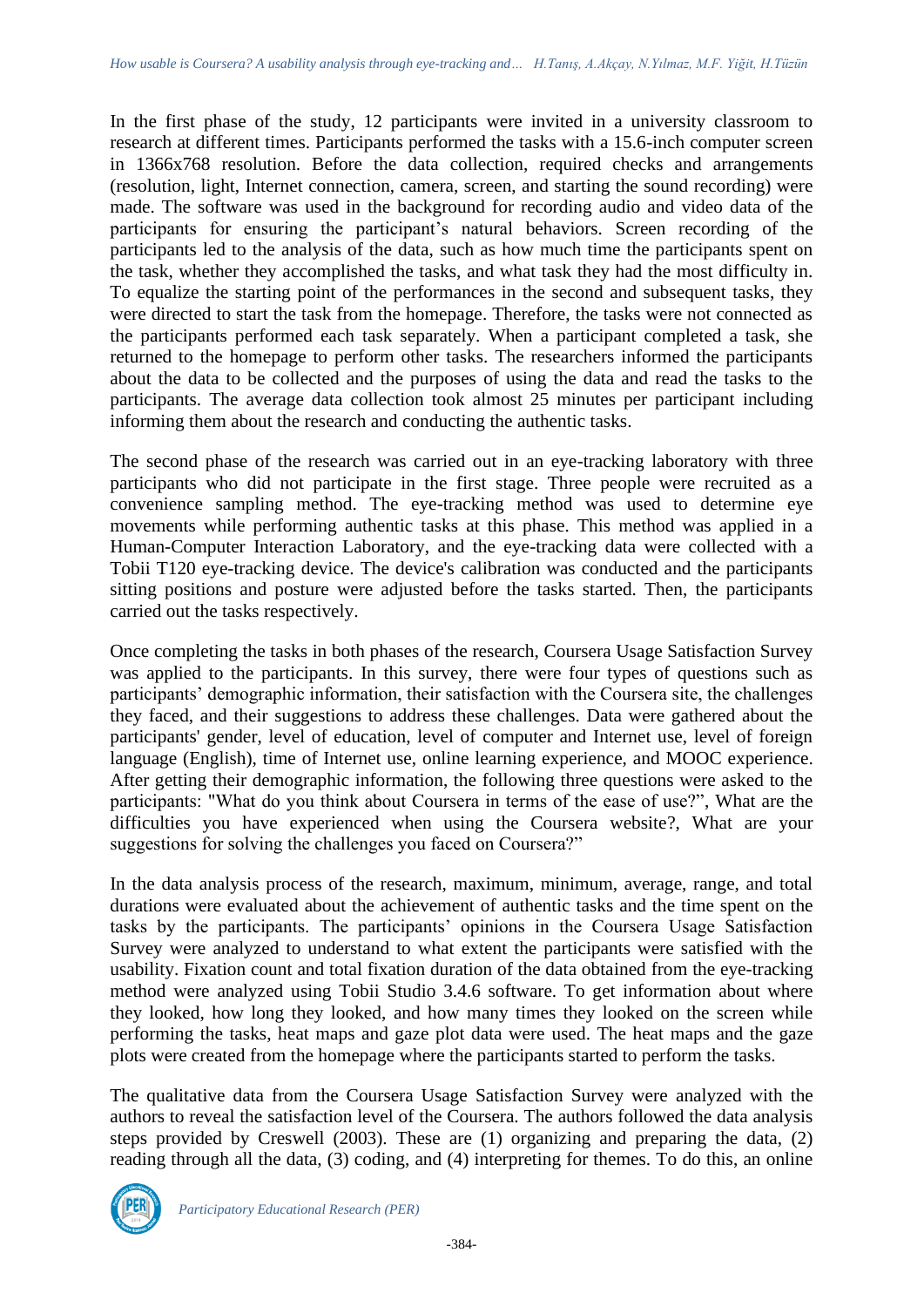In the first phase of the study, 12 participants were invited in a university classroom to research at different times. Participants performed the tasks with a 15.6-inch computer screen in 1366x768 resolution. Before the data collection, required checks and arrangements (resolution, light, Internet connection, camera, screen, and starting the sound recording) were made. The software was used in the background for recording audio and video data of the participants for ensuring the participant's natural behaviors. Screen recording of the participants led to the analysis of the data, such as how much time the participants spent on the task, whether they accomplished the tasks, and what task they had the most difficulty in. To equalize the starting point of the performances in the second and subsequent tasks, they were directed to start the task from the homepage. Therefore, the tasks were not connected as the participants performed each task separately. When a participant completed a task, she returned to the homepage to perform other tasks. The researchers informed the participants about the data to be collected and the purposes of using the data and read the tasks to the participants. The average data collection took almost 25 minutes per participant including informing them about the research and conducting the authentic tasks.

The second phase of the research was carried out in an eye-tracking laboratory with three participants who did not participate in the first stage. Three people were recruited as a convenience sampling method. The eye-tracking method was used to determine eye movements while performing authentic tasks at this phase. This method was applied in a Human-Computer Interaction Laboratory, and the eye-tracking data were collected with a Tobii T120 eye-tracking device. The device's calibration was conducted and the participants sitting positions and posture were adjusted before the tasks started. Then, the participants carried out the tasks respectively.

Once completing the tasks in both phases of the research, Coursera Usage Satisfaction Survey was applied to the participants. In this survey, there were four types of questions such as participants' demographic information, their satisfaction with the Coursera site, the challenges they faced, and their suggestions to address these challenges. Data were gathered about the participants' gender, level of education, level of computer and Internet use, level of foreign language (English), time of Internet use, online learning experience, and MOOC experience. After getting their demographic information, the following three questions were asked to the participants: "What do you think about Coursera in terms of the ease of use?", What are the difficulties you have experienced when using the Coursera website?, What are your suggestions for solving the challenges you faced on Coursera?"

In the data analysis process of the research, maximum, minimum, average, range, and total durations were evaluated about the achievement of authentic tasks and the time spent on the tasks by the participants. The participants' opinions in the Coursera Usage Satisfaction Survey were analyzed to understand to what extent the participants were satisfied with the usability. Fixation count and total fixation duration of the data obtained from the eye-tracking method were analyzed using Tobii Studio 3.4.6 software. To get information about where they looked, how long they looked, and how many times they looked on the screen while performing the tasks, heat maps and gaze plot data were used. The heat maps and the gaze plots were created from the homepage where the participants started to perform the tasks.

The qualitative data from the Coursera Usage Satisfaction Survey were analyzed with the authors to reveal the satisfaction level of the Coursera. The authors followed the data analysis steps provided by Creswell (2003). These are (1) organizing and preparing the data, (2) reading through all the data, (3) coding, and (4) interpreting for themes. To do this, an online

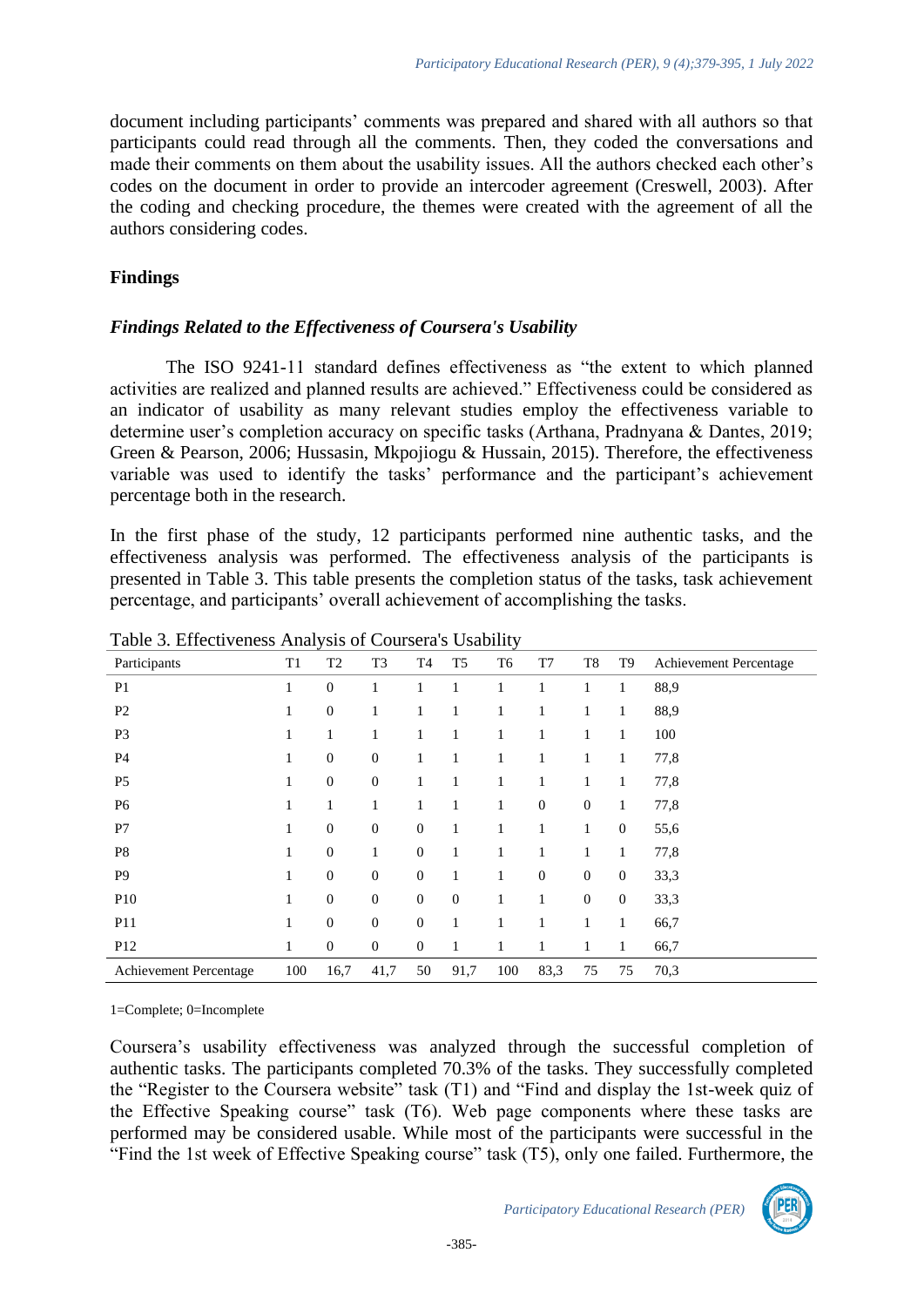document including participants' comments was prepared and shared with all authors so that participants could read through all the comments. Then, they coded the conversations and made their comments on them about the usability issues. All the authors checked each other's codes on the document in order to provide an intercoder agreement (Creswell, 2003). After the coding and checking procedure, the themes were created with the agreement of all the authors considering codes.

## **Findings**

## *Findings Related to the Effectiveness of Coursera's Usability*

The ISO 9241-11 standard defines effectiveness as "the extent to which planned activities are realized and planned results are achieved." Effectiveness could be considered as an indicator of usability as many relevant studies employ the effectiveness variable to determine user's completion accuracy on specific tasks (Arthana, Pradnyana & Dantes, 2019; Green & Pearson, 2006; Hussasin, Mkpojiogu & Hussain, 2015). Therefore, the effectiveness variable was used to identify the tasks' performance and the participant's achievement percentage both in the research.

In the first phase of the study, 12 participants performed nine authentic tasks, and the effectiveness analysis was performed. The effectiveness analysis of the participants is presented in Table 3. This table presents the completion status of the tasks, task achievement percentage, and participants' overall achievement of accomplishing the tasks.

| Participants           | T1           | T <sub>2</sub> | T <sub>3</sub>   | T4               | T <sub>5</sub> | T <sub>6</sub> | T7           | T8           | T <sub>9</sub>   | Achievement Percentage |
|------------------------|--------------|----------------|------------------|------------------|----------------|----------------|--------------|--------------|------------------|------------------------|
| P <sub>1</sub>         | 1            | $\theta$       | 1                |                  | 1              | 1              | 1            | 1            | 1                | 88,9                   |
| P <sub>2</sub>         | 1            | $\mathbf{0}$   | 1                |                  | 1              | 1              | 1            | 1            | $\mathbf{1}$     | 88,9                   |
| P <sub>3</sub>         | 1            | 1              | 1                | 1                | 1              | 1              | 1            | 1            | 1                | 100                    |
| P4                     | 1            | $\mathbf{0}$   | $\mathbf{0}$     | 1                | 1              | 1              | 1            | 1            | $\mathbf{1}$     | 77,8                   |
| P <sub>5</sub>         | 1            | $\mathbf{0}$   | $\mathbf{0}$     | 1                | 1              | 1              | 1            | 1            | $\mathbf{1}$     | 77,8                   |
| P <sub>6</sub>         | 1            | 1              | 1                |                  | 1              | 1              | $\mathbf{0}$ | $\mathbf{0}$ | $\mathbf{1}$     | 77,8                   |
| P7                     | $\mathbf{1}$ | $\mathbf{0}$   | $\mathbf{0}$     | $\mathbf{0}$     | 1              | 1              | 1            | $\mathbf{1}$ | $\boldsymbol{0}$ | 55,6                   |
| P <sub>8</sub>         | 1            | $\mathbf{0}$   | 1                | $\mathbf{0}$     | 1              | 1              |              | 1            | 1                | 77,8                   |
| P <sub>9</sub>         | 1            | $\theta$       | $\boldsymbol{0}$ | $\mathbf{0}$     | 1              | 1              | $\mathbf{0}$ | $\mathbf{0}$ | $\theta$         | 33,3                   |
| <b>P10</b>             | 1            | $\mathbf{0}$   | $\mathbf{0}$     | $\boldsymbol{0}$ | $\mathbf{0}$   | 1              | 1            | $\mathbf{0}$ | $\mathbf{0}$     | 33,3                   |
| P11                    | 1            | $\mathbf{0}$   | $\mathbf{0}$     | $\mathbf{0}$     | $\mathbf{1}$   | 1              | 1            | $\mathbf{1}$ | $\mathbf{1}$     | 66,7                   |
| P <sub>12</sub>        | 1            | $\mathbf{0}$   | $\mathbf{0}$     | $\mathbf{0}$     | 1              | 1              | 1            | $\mathbf{1}$ | $\mathbf{1}$     | 66,7                   |
| Achievement Percentage | 100          | 16,7           | 41,7             | 50               | 91,7           | 100            | 83,3         | 75           | 75               | 70,3                   |

Table 3. Effectiveness Analysis of Coursera's Usability

1=Complete; 0=Incomplete

Coursera's usability effectiveness was analyzed through the successful completion of authentic tasks. The participants completed 70.3% of the tasks. They successfully completed the "Register to the Coursera website" task (T1) and "Find and display the 1st-week quiz of the Effective Speaking course" task (T6). Web page components where these tasks are performed may be considered usable. While most of the participants were successful in the "Find the 1st week of Effective Speaking course" task (T5), only one failed. Furthermore, the

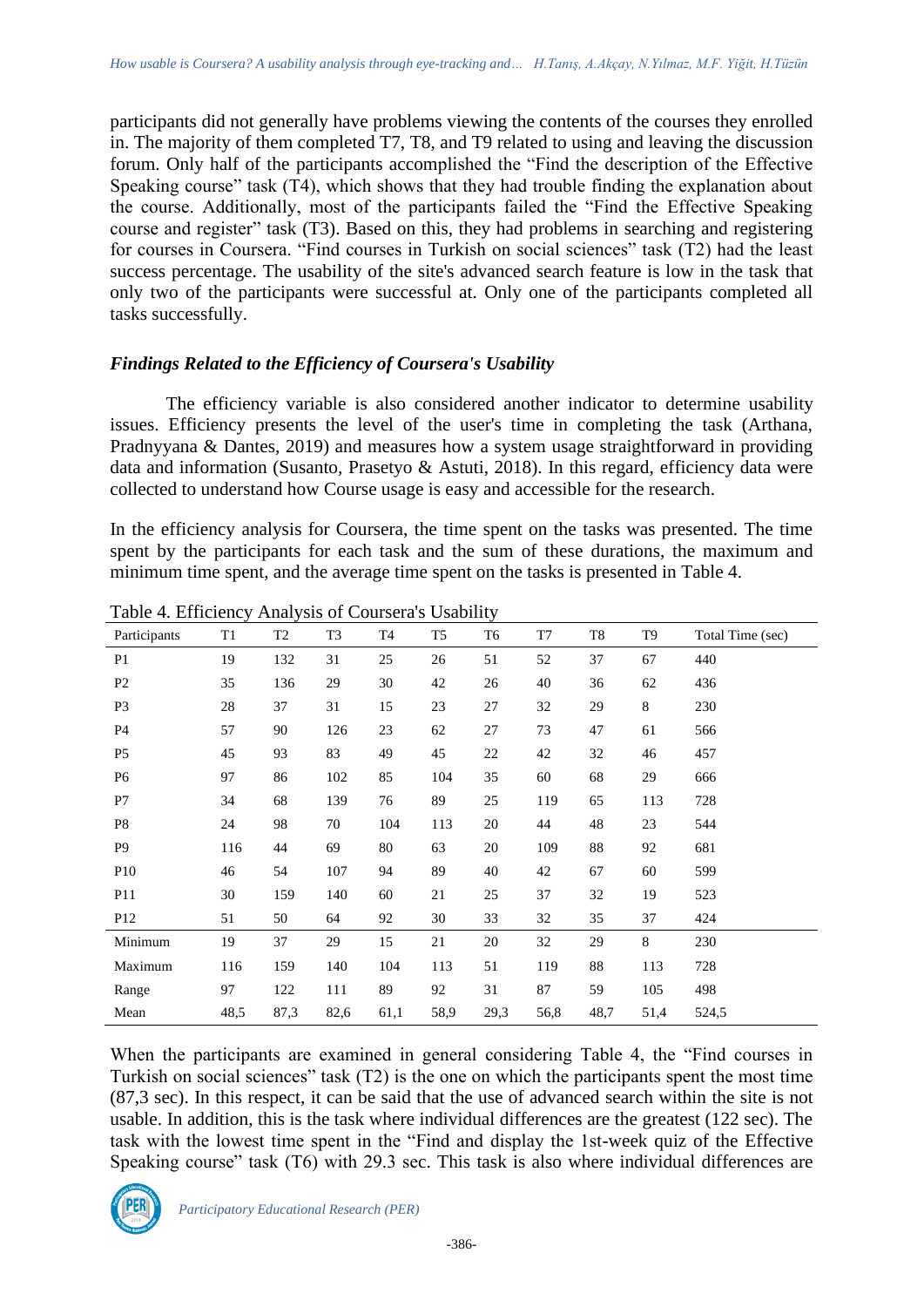participants did not generally have problems viewing the contents of the courses they enrolled in. The majority of them completed T7, T8, and T9 related to using and leaving the discussion forum. Only half of the participants accomplished the "Find the description of the Effective Speaking course" task (T4), which shows that they had trouble finding the explanation about the course. Additionally, most of the participants failed the "Find the Effective Speaking course and register" task (T3). Based on this, they had problems in searching and registering for courses in Coursera. "Find courses in Turkish on social sciences" task (T2) had the least success percentage. The usability of the site's advanced search feature is low in the task that only two of the participants were successful at. Only one of the participants completed all tasks successfully.

## *Findings Related to the Efficiency of Coursera's Usability*

The efficiency variable is also considered another indicator to determine usability issues. Efficiency presents the level of the user's time in completing the task (Arthana, Pradnyyana & Dantes, 2019) and measures how a system usage straightforward in providing data and information (Susanto, Prasetyo & Astuti, 2018). In this regard, efficiency data were collected to understand how Course usage is easy and accessible for the research.

In the efficiency analysis for Coursera, the time spent on the tasks was presented. The time spent by the participants for each task and the sum of these durations, the maximum and minimum time spent, and the average time spent on the tasks is presented in Table 4.

| Participants    | T <sub>1</sub> | T2   | T <sub>3</sub> | T4   | T <sub>5</sub> | T <sub>6</sub> | T7     | $\rm{T}8$ | T <sub>9</sub> | Total Time (sec) |
|-----------------|----------------|------|----------------|------|----------------|----------------|--------|-----------|----------------|------------------|
| P <sub>1</sub>  | 19             | 132  | 31             | 25   | 26             | 51             | 52     | 37        | 67             | 440              |
| P <sub>2</sub>  | 35             | 136  | 29             | 30   | 42             | 26             | 40     | 36        | 62             | 436              |
| P <sub>3</sub>  | 28             | 37   | 31             | 15   | 23             | 27             | 32     | 29        | 8              | 230              |
| P4              | 57             | 90   | 126            | 23   | 62             | 27             | 73     | 47        | 61             | 566              |
| P <sub>5</sub>  | 45             | 93   | 83             | 49   | 45             | 22             | 42     | 32        | 46             | 457              |
| P <sub>6</sub>  | 97             | 86   | 102            | 85   | 104            | 35             | 60     | 68        | 29             | 666              |
| P7              | 34             | 68   | 139            | 76   | 89             | 25             | 119    | 65        | 113            | 728              |
| P <sub>8</sub>  | 24             | 98   | 70             | 104  | 113            | 20             | 44     | 48        | 23             | 544              |
| P <sub>9</sub>  | 116            | 44   | 69             | 80   | 63             | 20             | 109    | 88        | 92             | 681              |
| P <sub>10</sub> | 46             | 54   | 107            | 94   | 89             | 40             | 42     | 67        | 60             | 599              |
| P <sub>11</sub> | 30             | 159  | 140            | 60   | 21             | 25             | 37     | 32        | 19             | 523              |
| P <sub>12</sub> | 51             | 50   | 64             | 92   | 30             | 33             | 32     | 35        | 37             | 424              |
| Minimum         | 19             | 37   | 29             | 15   | $21\,$         | 20             | 32     | 29        | $8\,$          | 230              |
| Maximum         | 116            | 159  | 140            | 104  | 113            | 51             | 119    | 88        | 113            | 728              |
| Range           | 97             | 122  | 111            | 89   | 92             | 31             | $87\,$ | 59        | 105            | 498              |
| Mean            | 48,5           | 87,3 | 82,6           | 61,1 | 58,9           | 29,3           | 56,8   | 48,7      | 51,4           | 524,5            |

Table 4. Efficiency Analysis of Coursera's Usability

When the participants are examined in general considering Table 4, the "Find courses in Turkish on social sciences" task (T2) is the one on which the participants spent the most time (87,3 sec). In this respect, it can be said that the use of advanced search within the site is not usable. In addition, this is the task where individual differences are the greatest (122 sec). The task with the lowest time spent in the "Find and display the 1st-week quiz of the Effective Speaking course" task (T6) with 29.3 sec. This task is also where individual differences are

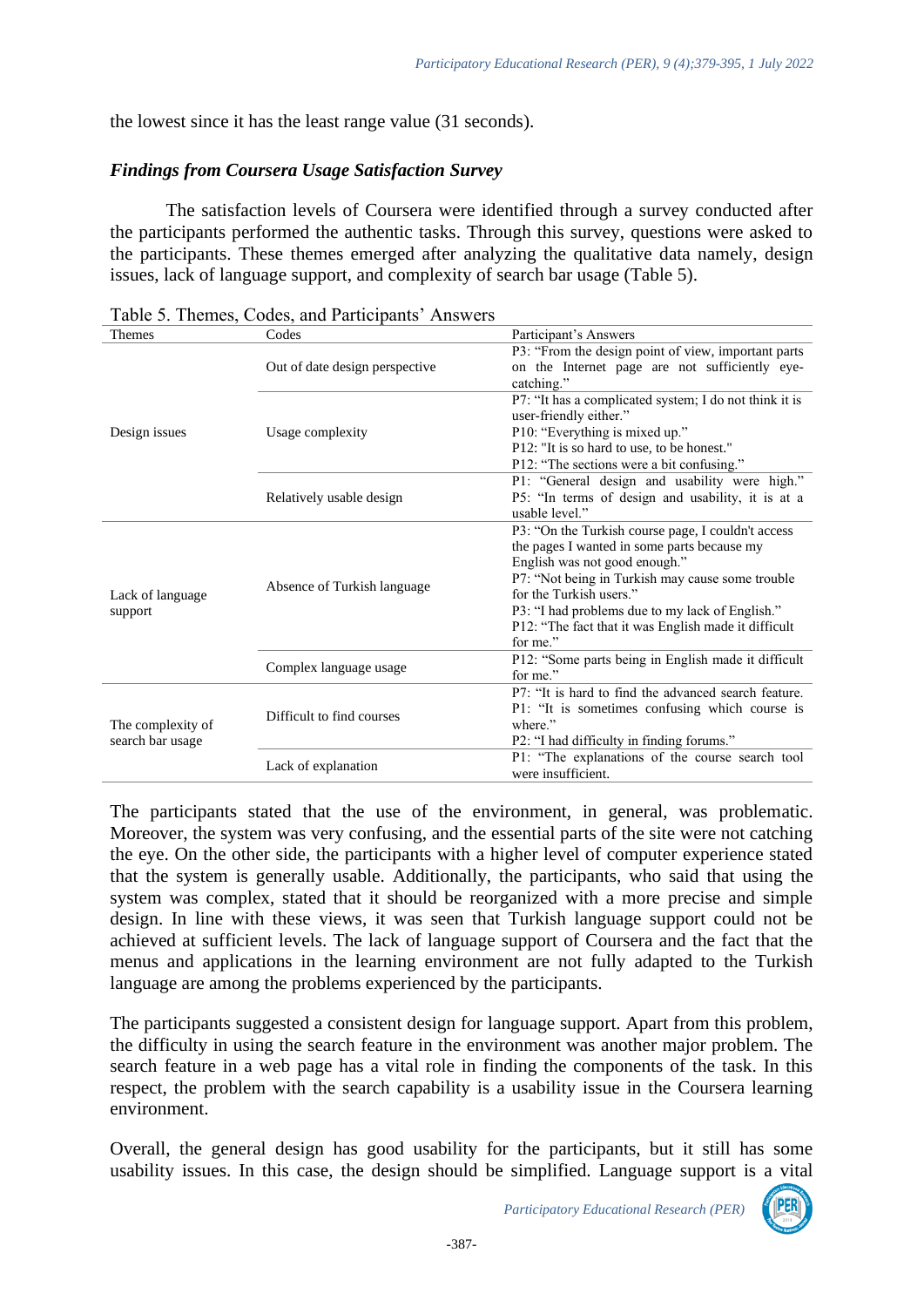the lowest since it has the least range value (31 seconds).

## *Findings from Coursera Usage Satisfaction Survey*

The satisfaction levels of Coursera were identified through a survey conducted after the participants performed the authentic tasks. Through this survey, questions were asked to the participants. These themes emerged after analyzing the qualitative data namely, design issues, lack of language support, and complexity of search bar usage (Table 5).

| <b>Themes</b>     | Codes                          | Participant's Answers                                  |  |  |  |  |  |
|-------------------|--------------------------------|--------------------------------------------------------|--|--|--|--|--|
|                   |                                | P3: "From the design point of view, important parts    |  |  |  |  |  |
|                   | Out of date design perspective | on the Internet page are not sufficiently eye-         |  |  |  |  |  |
|                   |                                | catching."                                             |  |  |  |  |  |
|                   |                                | P7: "It has a complicated system; I do not think it is |  |  |  |  |  |
|                   |                                | user-friendly either."                                 |  |  |  |  |  |
| Design issues     | Usage complexity               | P10: "Everything is mixed up."                         |  |  |  |  |  |
|                   |                                | P12: "It is so hard to use, to be honest."             |  |  |  |  |  |
|                   |                                | P12: "The sections were a bit confusing."              |  |  |  |  |  |
|                   |                                | P1: "General design and usability were high."          |  |  |  |  |  |
|                   | Relatively usable design       | P5: "In terms of design and usability, it is at a      |  |  |  |  |  |
|                   |                                | usable level."                                         |  |  |  |  |  |
|                   |                                | P3: "On the Turkish course page, I couldn't access     |  |  |  |  |  |
|                   |                                | the pages I wanted in some parts because my            |  |  |  |  |  |
|                   |                                | English was not good enough."                          |  |  |  |  |  |
|                   | Absence of Turkish language    | P7: "Not being in Turkish may cause some trouble       |  |  |  |  |  |
| Lack of language  |                                | for the Turkish users."                                |  |  |  |  |  |
| support           |                                | P3: "I had problems due to my lack of English."        |  |  |  |  |  |
|                   |                                | P12: "The fact that it was English made it difficult   |  |  |  |  |  |
|                   |                                | for me."                                               |  |  |  |  |  |
|                   | Complex language usage         | P12: "Some parts being in English made it difficult    |  |  |  |  |  |
|                   |                                | for me."                                               |  |  |  |  |  |
|                   |                                | P7: "It is hard to find the advanced search feature.   |  |  |  |  |  |
|                   | Difficult to find courses      | P1: "It is sometimes confusing which course is         |  |  |  |  |  |
| The complexity of |                                | where."                                                |  |  |  |  |  |
| search bar usage  |                                | P2: "I had difficulty in finding forums."              |  |  |  |  |  |
|                   | Lack of explanation            | P1: "The explanations of the course search tool        |  |  |  |  |  |
|                   |                                | were insufficient.                                     |  |  |  |  |  |

The participants stated that the use of the environment, in general, was problematic. Moreover, the system was very confusing, and the essential parts of the site were not catching the eye. On the other side, the participants with a higher level of computer experience stated that the system is generally usable. Additionally, the participants, who said that using the system was complex, stated that it should be reorganized with a more precise and simple design. In line with these views, it was seen that Turkish language support could not be achieved at sufficient levels. The lack of language support of Coursera and the fact that the menus and applications in the learning environment are not fully adapted to the Turkish language are among the problems experienced by the participants.

The participants suggested a consistent design for language support. Apart from this problem, the difficulty in using the search feature in the environment was another major problem. The search feature in a web page has a vital role in finding the components of the task. In this respect, the problem with the search capability is a usability issue in the Coursera learning environment.

Overall, the general design has good usability for the participants, but it still has some usability issues. In this case, the design should be simplified. Language support is a vital

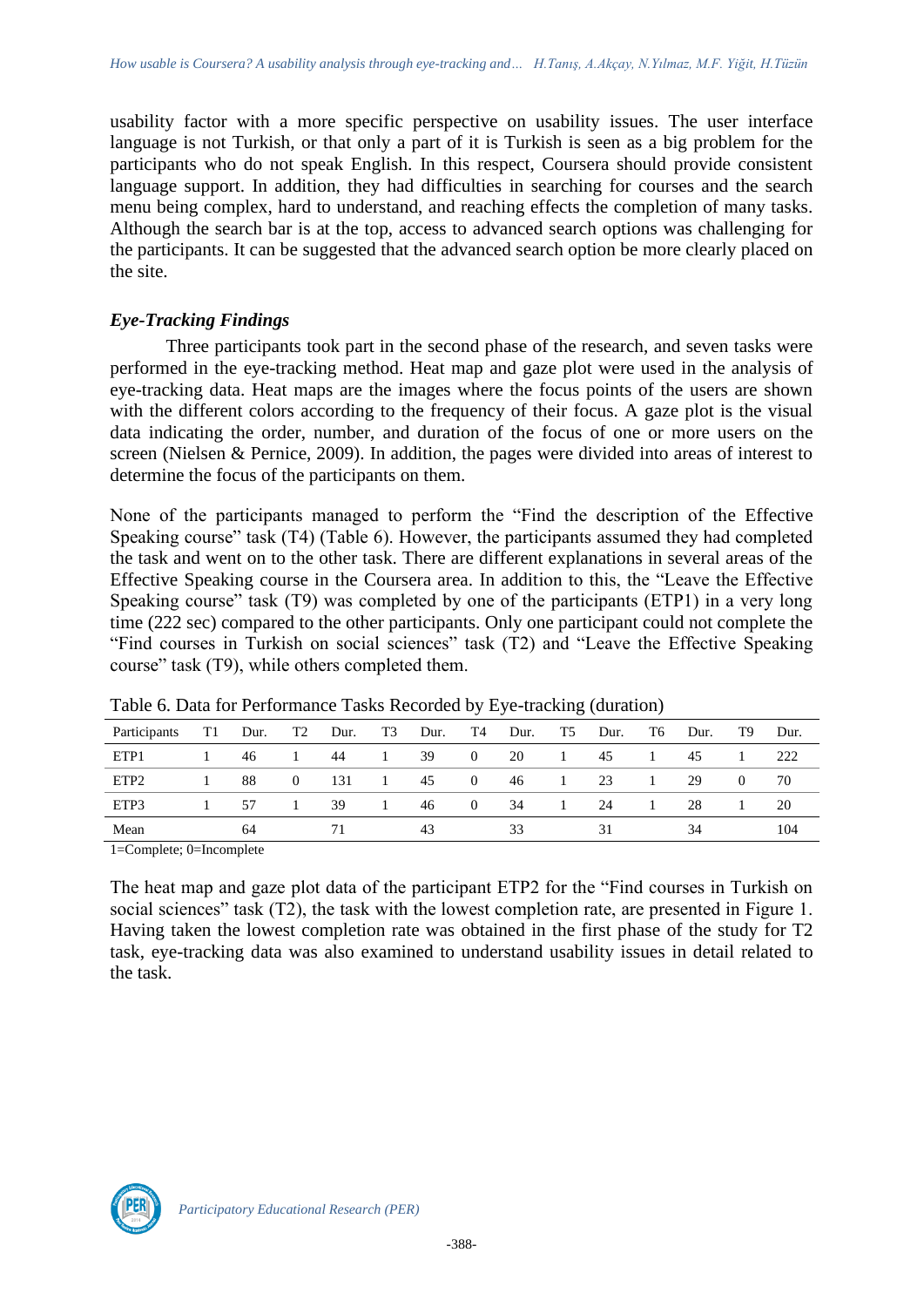usability factor with a more specific perspective on usability issues. The user interface language is not Turkish, or that only a part of it is Turkish is seen as a big problem for the participants who do not speak English. In this respect, Coursera should provide consistent language support. In addition, they had difficulties in searching for courses and the search menu being complex, hard to understand, and reaching effects the completion of many tasks. Although the search bar is at the top, access to advanced search options was challenging for the participants. It can be suggested that the advanced search option be more clearly placed on the site.

## *Eye-Tracking Findings*

Three participants took part in the second phase of the research, and seven tasks were performed in the eye-tracking method. Heat map and gaze plot were used in the analysis of eye-tracking data. Heat maps are the images where the focus points of the users are shown with the different colors according to the frequency of their focus. A gaze plot is the visual data indicating the order, number, and duration of the focus of one or more users on the screen (Nielsen & Pernice, 2009). In addition, the pages were divided into areas of interest to determine the focus of the participants on them.

None of the participants managed to perform the "Find the description of the Effective Speaking course" task (T4) (Table 6). However, the participants assumed they had completed the task and went on to the other task. There are different explanations in several areas of the Effective Speaking course in the Coursera area. In addition to this, the "Leave the Effective Speaking course" task (T9) was completed by one of the participants (ETP1) in a very long time (222 sec) compared to the other participants. Only one participant could not complete the "Find courses in Turkish on social sciences" task (T2) and "Leave the Effective Speaking course" task (T9), while others completed them.

| Participants     | T1 | Dur. | T <sub>2</sub> | Dur. | T3 | Dur. | T4             | Dur. | T5           | Dur. | T6 | Dur. | T9       | Dur. |
|------------------|----|------|----------------|------|----|------|----------------|------|--------------|------|----|------|----------|------|
| ETP1             |    | 46   |                | 44   |    | 39   | $\overline{0}$ | 20   | $\mathbf{L}$ | 45   |    | 45   |          | 222  |
| ETP <sub>2</sub> |    | 88   | $\theta$       | 131  |    | 45   | $\overline{0}$ | 46   | $\perp$      | 23   |    | 29   | $\Omega$ | 70   |
| ETP3             |    | 57   |                | 39   | 1  | 46   | $\theta$       | 34   | $\mathbf{I}$ | 24   |    | 28   |          | 20   |
| Mean             |    | 64   |                |      |    | 43   |                | 33   |              |      |    | 34   |          | 104  |

Table 6. Data for Performance Tasks Recorded by Eye-tracking (duration)

1=Complete; 0=Incomplete

The heat map and gaze plot data of the participant ETP2 for the "Find courses in Turkish on social sciences" task (T2), the task with the lowest completion rate, are presented in Figure 1. Having taken the lowest completion rate was obtained in the first phase of the study for T2 task, eye-tracking data was also examined to understand usability issues in detail related to the task.

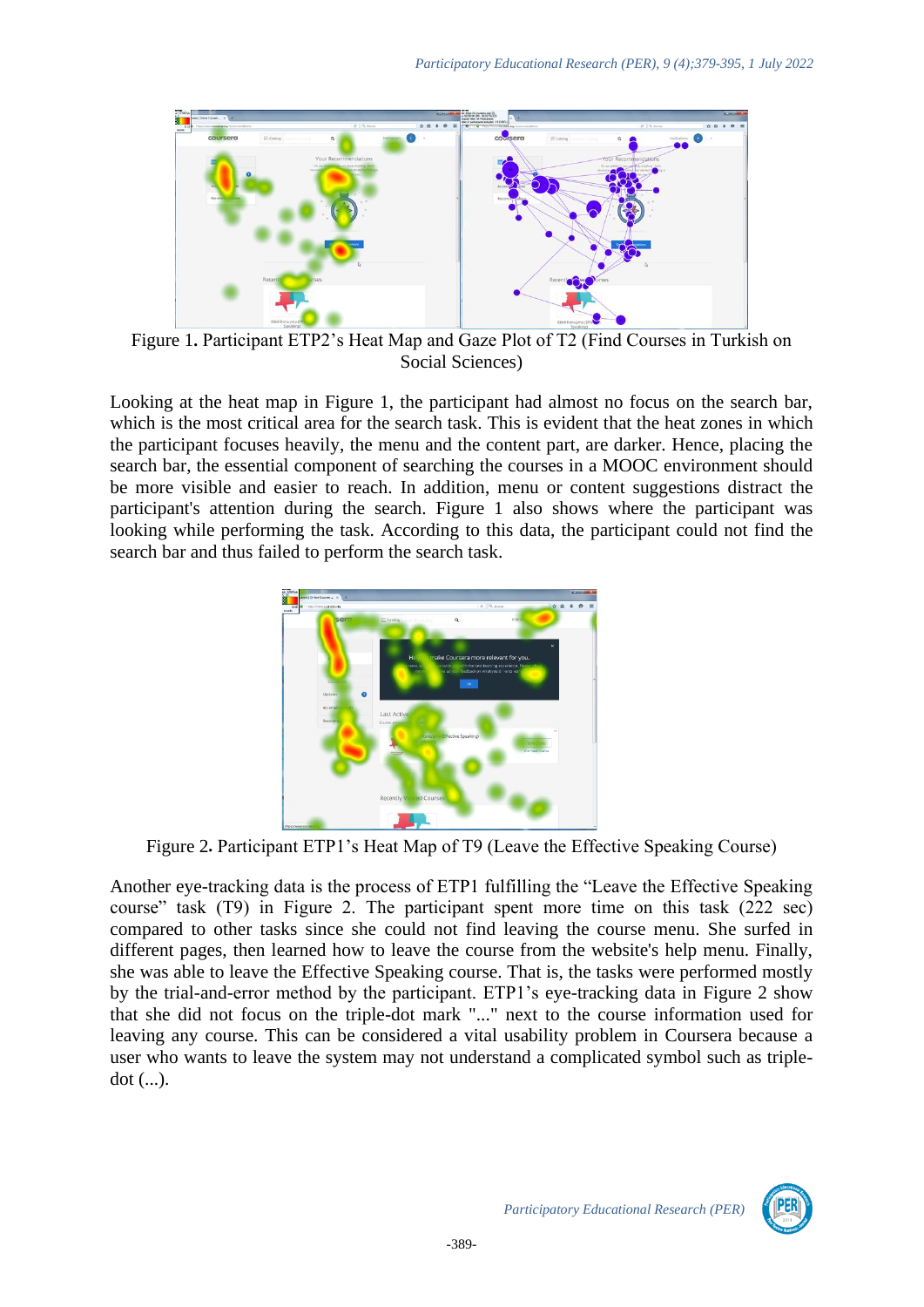

Figure 1**.** Participant ETP2's Heat Map and Gaze Plot of T2 (Find Courses in Turkish on Social Sciences)

Looking at the heat map in Figure 1, the participant had almost no focus on the search bar, which is the most critical area for the search task. This is evident that the heat zones in which the participant focuses heavily, the menu and the content part, are darker. Hence, placing the search bar, the essential component of searching the courses in a MOOC environment should be more visible and easier to reach. In addition, menu or content suggestions distract the participant's attention during the search. Figure 1 also shows where the participant was looking while performing the task. According to this data, the participant could not find the search bar and thus failed to perform the search task.



Figure 2**.** Participant ETP1's Heat Map of T9 (Leave the Effective Speaking Course)

Another eye-tracking data is the process of ETP1 fulfilling the "Leave the Effective Speaking course" task (T9) in Figure 2. The participant spent more time on this task (222 sec) compared to other tasks since she could not find leaving the course menu. She surfed in different pages, then learned how to leave the course from the website's help menu. Finally, she was able to leave the Effective Speaking course. That is, the tasks were performed mostly by the trial-and-error method by the participant. ETP1's eye-tracking data in Figure 2 show that she did not focus on the triple-dot mark "..." next to the course information used for leaving any course. This can be considered a vital usability problem in Coursera because a user who wants to leave the system may not understand a complicated symbol such as tripledot (...).

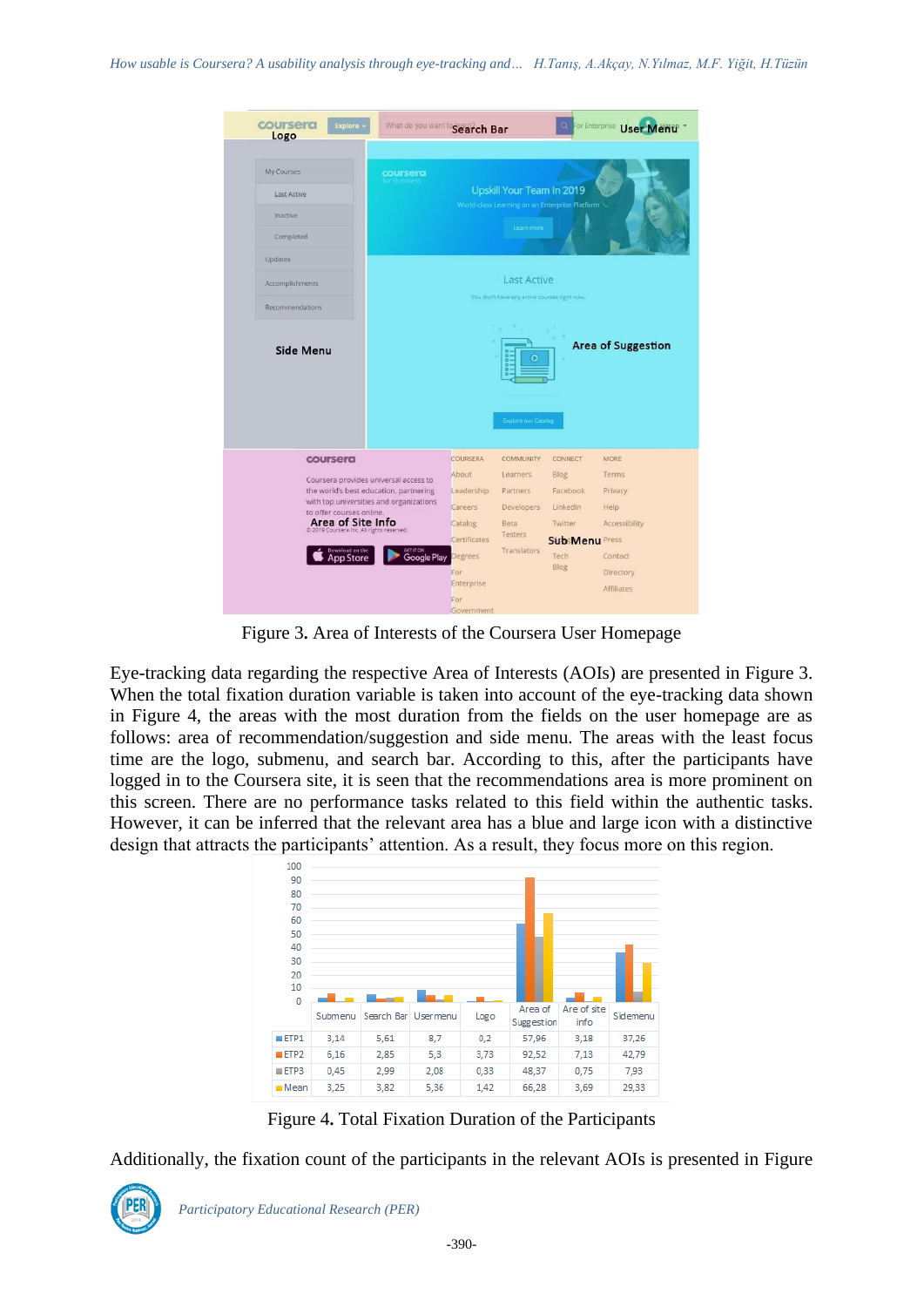| coursera<br>Explore -<br>Logo                                                                                                                                                                                                           | What do you want to Search Bar                                             |                                                                                                                                   |                                                                                                                                                       | O                                                                                    | For Enterprise User Menu                                                                              |  |  |
|-----------------------------------------------------------------------------------------------------------------------------------------------------------------------------------------------------------------------------------------|----------------------------------------------------------------------------|-----------------------------------------------------------------------------------------------------------------------------------|-------------------------------------------------------------------------------------------------------------------------------------------------------|--------------------------------------------------------------------------------------|-------------------------------------------------------------------------------------------------------|--|--|
| <b>My Courses</b><br><b>Last Active</b><br><b>Inactive</b><br>Completed<br>Updates<br>Accomplishments<br>Recommendations<br>Side Menu                                                                                                   | <b>coursera</b><br>for Business                                            |                                                                                                                                   | Upskill Your Team In 2019<br>Learn more<br><b>Last Active</b><br>You don't have any active courses right now.<br>c<br>a<br><b>Explore our Catalog</b> | World-class Learning on an Enterprise Platform                                       | <b>Area of Suggestion</b>                                                                             |  |  |
| coursera<br>Coursera provides universal access to<br>the world's best education, partnering<br>to offer courses online.<br><b>Area of Site Info</b><br>@ 2019 Coursera Inc. All rights reserved.<br>Download on the<br><b>App Store</b> | with top universities and organizations<br>GET IT ON<br><b>Google Play</b> | COURSERA<br>About<br>Leadership<br>Careers<br>Catalog<br>Certificates<br><b>Degrees</b><br>For<br>Enterprise<br>For<br>Government | <b>COMMUNITY</b><br>Learners<br>Partners<br><b>Developers</b><br>Beta<br>Testers<br>Translators                                                       | CONNECT<br>Blog<br>Facebook<br>LinkedIn<br>Twitter<br>Sub Menu Press<br>Tech<br>Blog | <b>MORE</b><br>Terms<br>Privacy<br>Help<br>Accessibility<br>Contact<br>Directory<br><b>Affiliates</b> |  |  |

Figure 3**.** Area of Interests of the Coursera User Homepage

Eye-tracking data regarding the respective Area of Interests (AOIs) are presented in Figure 3. When the total fixation duration variable is taken into account of the eye-tracking data shown in Figure 4, the areas with the most duration from the fields on the user homepage are as follows: area of recommendation/suggestion and side menu. The areas with the least focus time are the logo, submenu, and search bar. According to this, after the participants have logged in to the Coursera site, it is seen that the recommendations area is more prominent on this screen. There are no performance tasks related to this field within the authentic tasks. However, it can be inferred that the relevant area has a blue and large icon with a distinctive design that attracts the participants' attention. As a result, they focus more on this region.



Figure 4**.** Total Fixation Duration of the Participants

Additionally, the fixation count of the participants in the relevant AOIs is presented in Figure

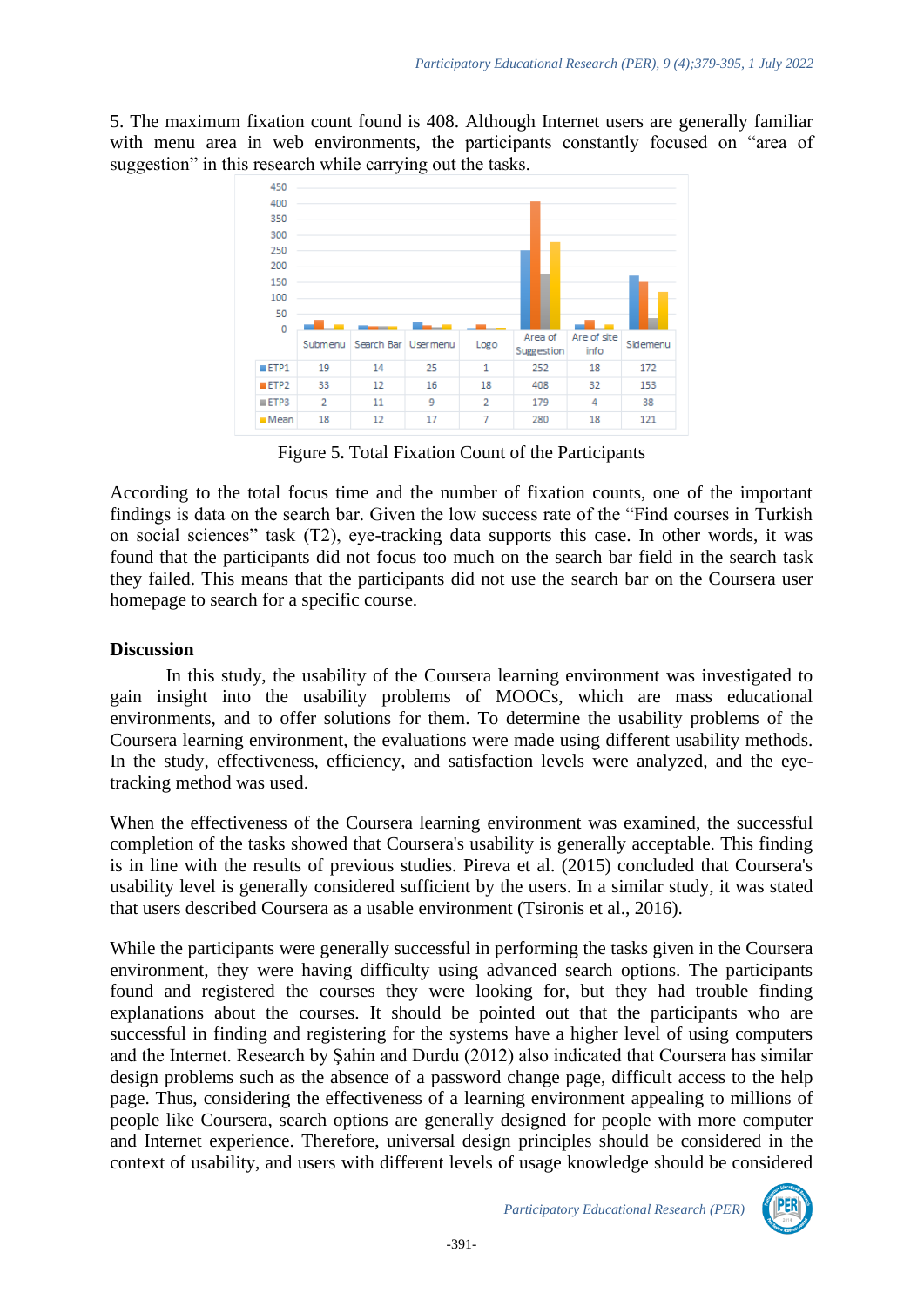5. The maximum fixation count found is 408. Although Internet users are generally familiar with menu area in web environments, the participants constantly focused on "area of suggestion" in this research while carrying out the tasks.



Figure 5**.** Total Fixation Count of the Participants

According to the total focus time and the number of fixation counts, one of the important findings is data on the search bar. Given the low success rate of the "Find courses in Turkish on social sciences" task (T2), eye-tracking data supports this case. In other words, it was found that the participants did not focus too much on the search bar field in the search task they failed. This means that the participants did not use the search bar on the Coursera user homepage to search for a specific course.

## **Discussion**

In this study, the usability of the Coursera learning environment was investigated to gain insight into the usability problems of MOOCs, which are mass educational environments, and to offer solutions for them. To determine the usability problems of the Coursera learning environment, the evaluations were made using different usability methods. In the study, effectiveness, efficiency, and satisfaction levels were analyzed, and the eyetracking method was used.

When the effectiveness of the Coursera learning environment was examined, the successful completion of the tasks showed that Coursera's usability is generally acceptable. This finding is in line with the results of previous studies. Pireva et al. (2015) concluded that Coursera's usability level is generally considered sufficient by the users. In a similar study, it was stated that users described Coursera as a usable environment (Tsironis et al., 2016).

While the participants were generally successful in performing the tasks given in the Coursera environment, they were having difficulty using advanced search options. The participants found and registered the courses they were looking for, but they had trouble finding explanations about the courses. It should be pointed out that the participants who are successful in finding and registering for the systems have a higher level of using computers and the Internet. Research by Şahin and Durdu (2012) also indicated that Coursera has similar design problems such as the absence of a password change page, difficult access to the help page. Thus, considering the effectiveness of a learning environment appealing to millions of people like Coursera, search options are generally designed for people with more computer and Internet experience. Therefore, universal design principles should be considered in the context of usability, and users with different levels of usage knowledge should be considered

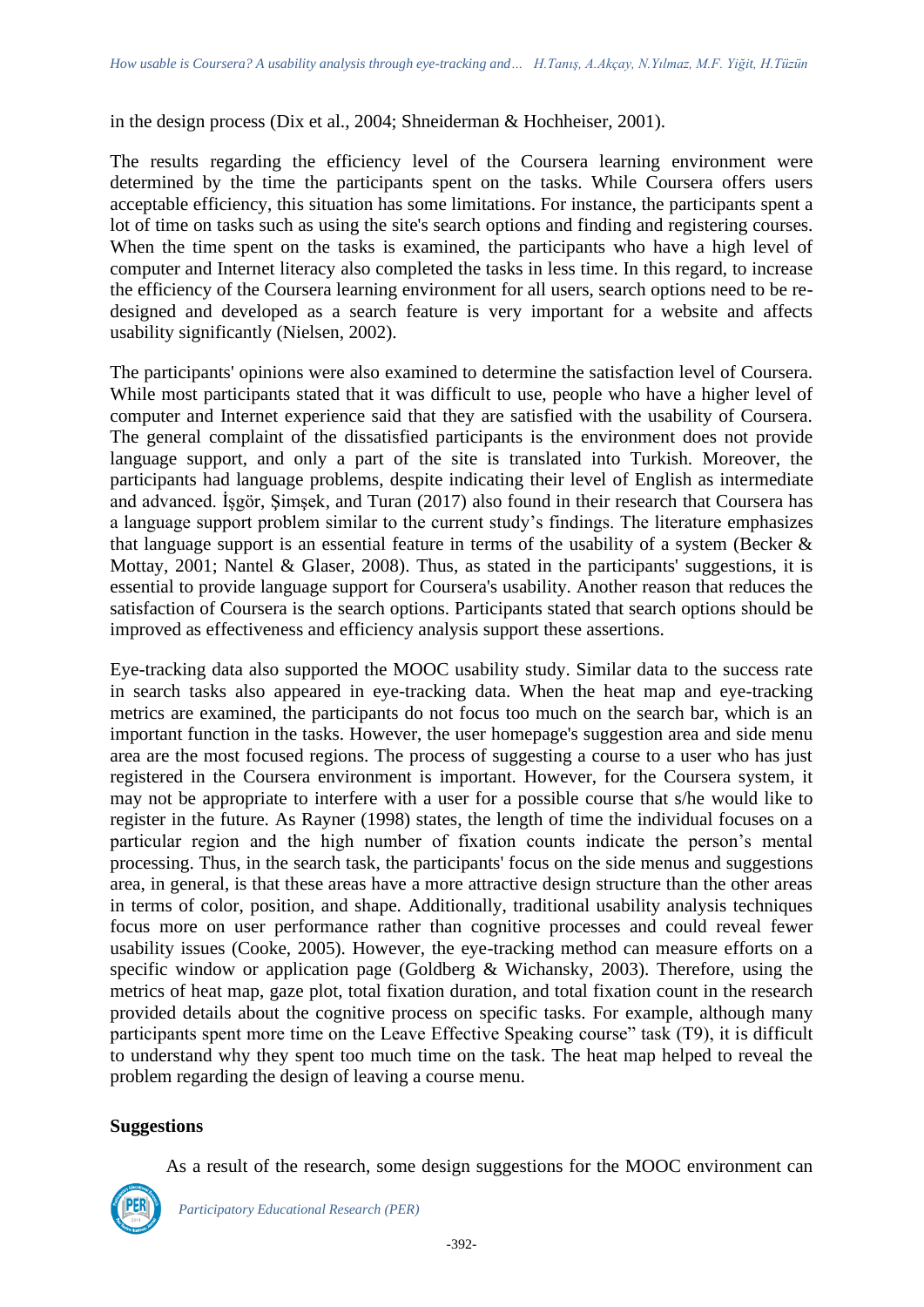in the design process (Dix et al., 2004; Shneiderman & Hochheiser, 2001).

The results regarding the efficiency level of the Coursera learning environment were determined by the time the participants spent on the tasks. While Coursera offers users acceptable efficiency, this situation has some limitations. For instance, the participants spent a lot of time on tasks such as using the site's search options and finding and registering courses. When the time spent on the tasks is examined, the participants who have a high level of computer and Internet literacy also completed the tasks in less time. In this regard, to increase the efficiency of the Coursera learning environment for all users, search options need to be redesigned and developed as a search feature is very important for a website and affects usability significantly (Nielsen, 2002).

The participants' opinions were also examined to determine the satisfaction level of Coursera. While most participants stated that it was difficult to use, people who have a higher level of computer and Internet experience said that they are satisfied with the usability of Coursera. The general complaint of the dissatisfied participants is the environment does not provide language support, and only a part of the site is translated into Turkish. Moreover, the participants had language problems, despite indicating their level of English as intermediate and advanced. İşgör, Şimşek, and Turan (2017) also found in their research that Coursera has a language support problem similar to the current study's findings. The literature emphasizes that language support is an essential feature in terms of the usability of a system (Becker  $\&$ Mottay, 2001; Nantel & Glaser, 2008). Thus, as stated in the participants' suggestions, it is essential to provide language support for Coursera's usability. Another reason that reduces the satisfaction of Coursera is the search options. Participants stated that search options should be improved as effectiveness and efficiency analysis support these assertions.

Eye-tracking data also supported the MOOC usability study. Similar data to the success rate in search tasks also appeared in eye-tracking data. When the heat map and eye-tracking metrics are examined, the participants do not focus too much on the search bar, which is an important function in the tasks. However, the user homepage's suggestion area and side menu area are the most focused regions. The process of suggesting a course to a user who has just registered in the Coursera environment is important. However, for the Coursera system, it may not be appropriate to interfere with a user for a possible course that s/he would like to register in the future. As Rayner (1998) states, the length of time the individual focuses on a particular region and the high number of fixation counts indicate the person's mental processing. Thus, in the search task, the participants' focus on the side menus and suggestions area, in general, is that these areas have a more attractive design structure than the other areas in terms of color, position, and shape. Additionally, traditional usability analysis techniques focus more on user performance rather than cognitive processes and could reveal fewer usability issues (Cooke, 2005). However, the eye-tracking method can measure efforts on a specific window or application page (Goldberg & Wichansky, 2003). Therefore, using the metrics of heat map, gaze plot, total fixation duration, and total fixation count in the research provided details about the cognitive process on specific tasks. For example, although many participants spent more time on the Leave Effective Speaking course" task (T9), it is difficult to understand why they spent too much time on the task. The heat map helped to reveal the problem regarding the design of leaving a course menu.

## **Suggestions**

As a result of the research, some design suggestions for the MOOC environment can

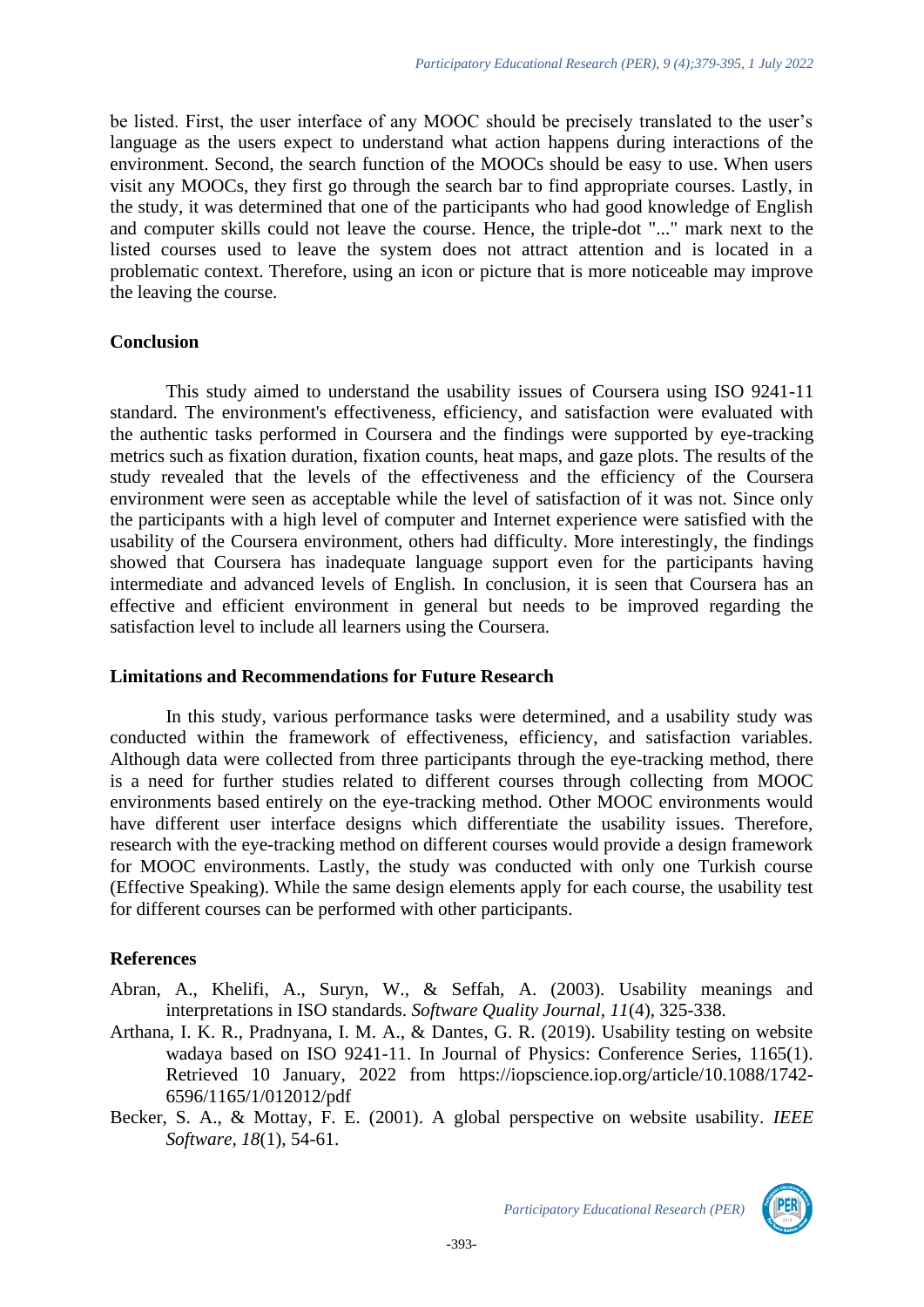be listed. First, the user interface of any MOOC should be precisely translated to the user's language as the users expect to understand what action happens during interactions of the environment. Second, the search function of the MOOCs should be easy to use. When users visit any MOOCs, they first go through the search bar to find appropriate courses. Lastly, in the study, it was determined that one of the participants who had good knowledge of English and computer skills could not leave the course. Hence, the triple-dot "..." mark next to the listed courses used to leave the system does not attract attention and is located in a problematic context. Therefore, using an icon or picture that is more noticeable may improve the leaving the course.

#### **Conclusion**

This study aimed to understand the usability issues of Coursera using ISO 9241-11 standard. The environment's effectiveness, efficiency, and satisfaction were evaluated with the authentic tasks performed in Coursera and the findings were supported by eye-tracking metrics such as fixation duration, fixation counts, heat maps, and gaze plots. The results of the study revealed that the levels of the effectiveness and the efficiency of the Coursera environment were seen as acceptable while the level of satisfaction of it was not. Since only the participants with a high level of computer and Internet experience were satisfied with the usability of the Coursera environment, others had difficulty. More interestingly, the findings showed that Coursera has inadequate language support even for the participants having intermediate and advanced levels of English. In conclusion, it is seen that Coursera has an effective and efficient environment in general but needs to be improved regarding the satisfaction level to include all learners using the Coursera.

#### **Limitations and Recommendations for Future Research**

In this study, various performance tasks were determined, and a usability study was conducted within the framework of effectiveness, efficiency, and satisfaction variables. Although data were collected from three participants through the eye-tracking method, there is a need for further studies related to different courses through collecting from MOOC environments based entirely on the eye-tracking method. Other MOOC environments would have different user interface designs which differentiate the usability issues. Therefore, research with the eye-tracking method on different courses would provide a design framework for MOOC environments. Lastly, the study was conducted with only one Turkish course (Effective Speaking). While the same design elements apply for each course, the usability test for different courses can be performed with other participants.

## **References**

- Abran, A., Khelifi, A., Suryn, W., & Seffah, A. (2003). Usability meanings and interpretations in ISO standards. *Software Quality Journal, 11*(4), 325-338.
- Arthana, I. K. R., Pradnyana, I. M. A., & Dantes, G. R. (2019). Usability testing on website wadaya based on ISO 9241-11. In Journal of Physics: Conference Series, 1165(1). Retrieved 10 January, 2022 from [https://iopscience.iop.org/article/10.1088/1742-](https://iopscience.iop.org/article/10.1088/1742-6596/1165/1/012012/pdf) [6596/1165/1/012012/pdf](https://iopscience.iop.org/article/10.1088/1742-6596/1165/1/012012/pdf)
- Becker, S. A., & Mottay, F. E. (2001). A global perspective on website usability. *IEEE Software, 18*(1), 54-61.

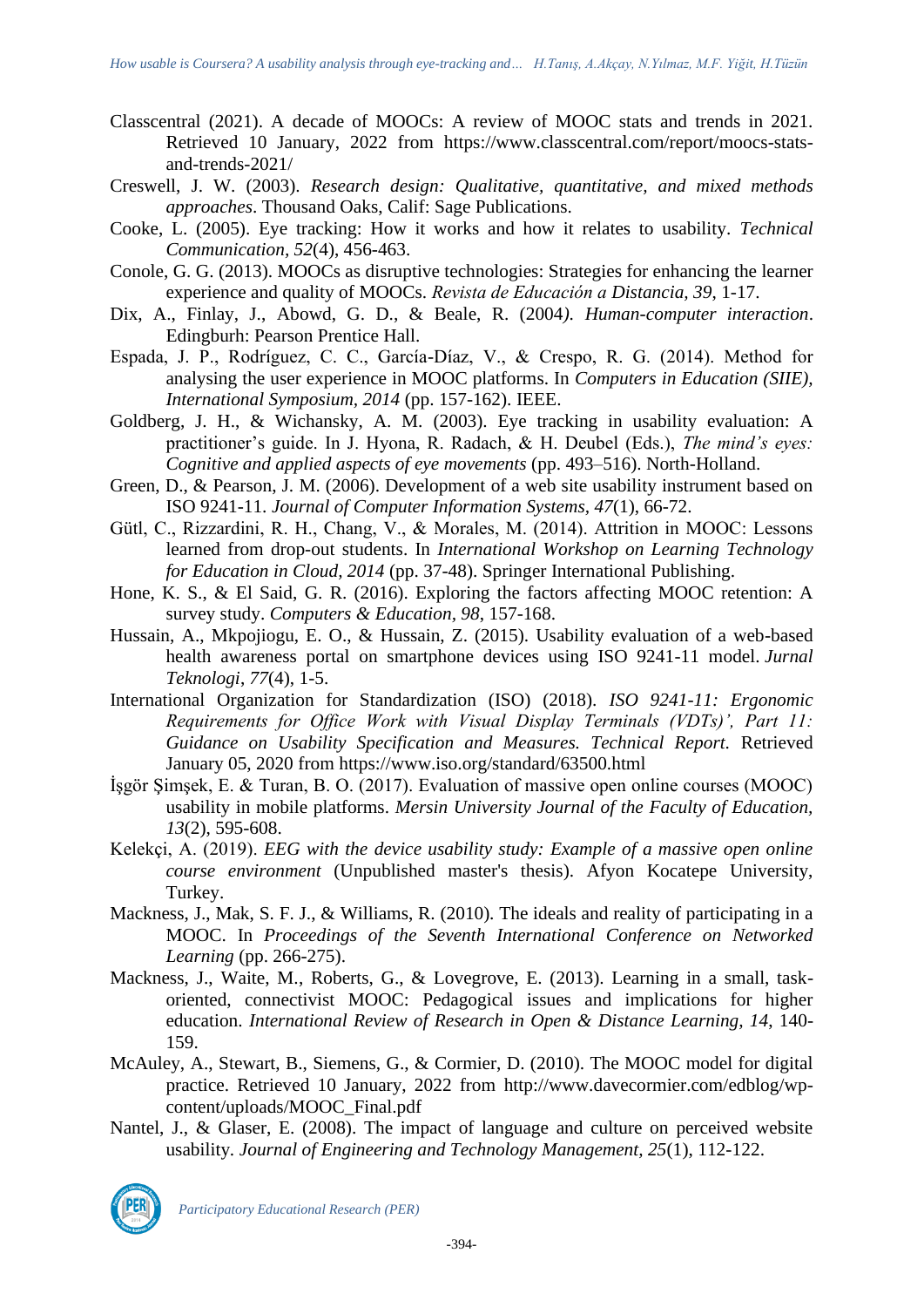- Classcentral (2021). A decade of MOOCs: A review of MOOC stats and trends in 2021. Retrieved 10 January, 2022 from [https://www.classcentral.com/report/moocs-stats](https://www.classcentral.com/report/moocs-stats-and-trends-2021/)[and-trends-2021/](https://www.classcentral.com/report/moocs-stats-and-trends-2021/)
- Creswell, J. W. (2003). *Research design: Qualitative, quantitative, and mixed methods approaches*. Thousand Oaks, Calif: Sage Publications.
- Cooke, L. (2005). Eye tracking: How it works and how it relates to usability. *Technical Communication, 52*(4), 456-463.
- Conole, G. G. (2013). MOOCs as disruptive technologies: Strategies for enhancing the learner experience and quality of MOOCs. *Revista de Educación a Distancia, 39*, 1-17.
- Dix, A., Finlay, J., Abowd, G. D., & Beale, R. (2004*). Human-computer interaction*. Edingburh: Pearson Prentice Hall.
- Espada, J. P., Rodríguez, C. C., García-Díaz, V., & Crespo, R. G. (2014). Method for analysing the user experience in MOOC platforms. In *Computers in Education (SIIE), International Symposium, 2014* (pp. 157-162). IEEE.
- Goldberg, J. H., & Wichansky, A. M. (2003). Eye tracking in usability evaluation: A practitioner's guide. In J. Hyona, R. Radach, & H. Deubel (Eds.), *The mind's eyes: Cognitive and applied aspects of eye movements* (pp. 493–516). North-Holland.
- Green, D., & Pearson, J. M. (2006). Development of a web site usability instrument based on ISO 9241-11. *Journal of Computer Information Systems, 47*(1), 66-72.
- Gütl, C., Rizzardini, R. H., Chang, V., & Morales, M. (2014). Attrition in MOOC: Lessons learned from drop-out students. In *International Workshop on Learning Technology for Education in Cloud, 2014* (pp. 37-48). Springer International Publishing.
- Hone, K. S., & El Said, G. R. (2016). Exploring the factors affecting MOOC retention: A survey study. *Computers & Education, 98*, 157-168.
- Hussain, A., Mkpojiogu, E. O., & Hussain, Z. (2015). Usability evaluation of a web-based health awareness portal on smartphone devices using ISO 9241-11 model. *Jurnal Teknologi*, *77*(4), 1-5.
- International Organization for Standardization (ISO) (2018). *ISO 9241-11: Ergonomic Requirements for Office Work with Visual Display Terminals (VDTs)', Part 11: Guidance on Usability Specification and Measures. Technical Report.* Retrieved January 05, 2020 from <https://www.iso.org/standard/63500.html>
- İşgör Şimşek, E. & Turan, B. O. (2017). Evaluation of massive open online courses (MOOC) usability in mobile platforms. *Mersin University Journal of the Faculty of Education, 13*(2), 595-608.
- Kelekçi, A. (2019). *EEG with the device usability study: Example of a massive open online course environment* (Unpublished master's thesis). Afyon Kocatepe University, Turkey.
- Mackness, J., Mak, S. F. J., & Williams, R. (2010). The ideals and reality of participating in a MOOC. In *Proceedings of the Seventh International Conference on Networked Learning* (pp. 266-275).
- Mackness, J., Waite, M., Roberts, G., & Lovegrove, E. (2013). Learning in a small, taskoriented, connectivist MOOC: Pedagogical issues and implications for higher education. *International Review of Research in Open & Distance Learning, 14*, 140- 159.
- McAuley, A., Stewart, B., Siemens, G., & Cormier, D. (2010). The MOOC model for digital practice. Retrieved 10 January, 2022 from [http://www.davecormier.com/edblog/wp](http://www.davecormier.com/edblog/wp-content/uploads/MOOC_Final.pdf)[content/uploads/MOOC\\_Final.pdf](http://www.davecormier.com/edblog/wp-content/uploads/MOOC_Final.pdf)
- Nantel, J., & Glaser, E. (2008). The impact of language and culture on perceived website usability*. Journal of Engineering and Technology Management, 25*(1), 112-122.



*Participatory Educational Research (PER)*